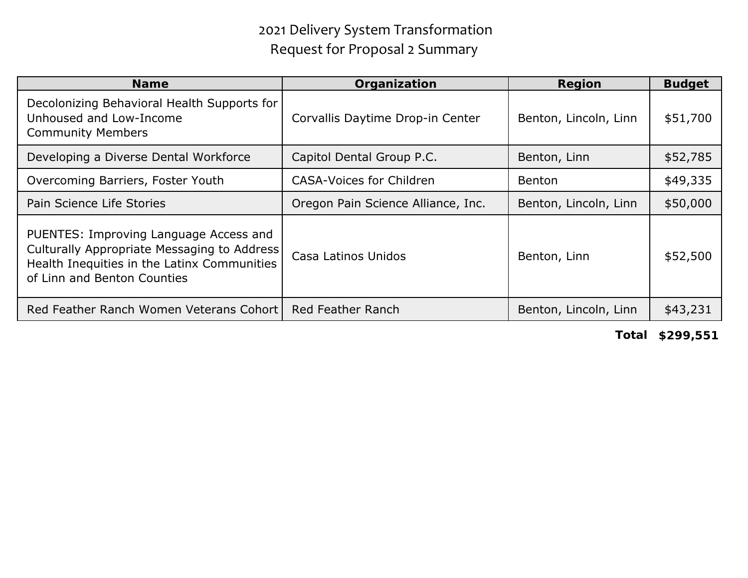## 2021 Delivery System Transformation Request for Proposal 2 Summary

| Name                                                                                                                                                                | Organization                       | Region                | <b>Budget</b> |
|---------------------------------------------------------------------------------------------------------------------------------------------------------------------|------------------------------------|-----------------------|---------------|
| Decolonizing Behavioral Health Supports for<br>Unhoused and Low-Income<br><b>Community Members</b>                                                                  | Corvallis Daytime Drop-in Center   | Benton, Lincoln, Linn | \$51,700      |
| Developing a Diverse Dental Workforce                                                                                                                               | Capitol Dental Group P.C.          | Benton, Linn          | \$52,785      |
| Overcoming Barriers, Foster Youth                                                                                                                                   | <b>CASA-Voices for Children</b>    | Benton                | \$49,335      |
| Pain Science Life Stories                                                                                                                                           | Oregon Pain Science Alliance, Inc. | Benton, Lincoln, Linn | \$50,000      |
| PUENTES: Improving Language Access and<br>Culturally Appropriate Messaging to Address<br>Health Inequities in the Latinx Communities<br>of Linn and Benton Counties | Casa Latinos Unidos                | Benton, Linn          | \$52,500      |
| Red Feather Ranch Women Veterans Cohort I                                                                                                                           | Red Feather Ranch                  | Benton, Lincoln, Linn | \$43,231      |

**Total \$299,551**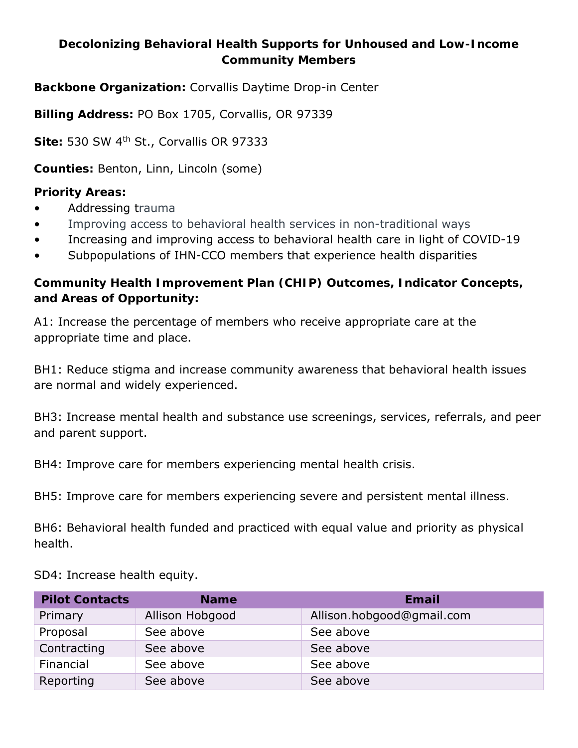**Decolonizing Behavioral Health Supports for Unhoused and Low-Income Community Members**

**Backbone Organization:** Corvallis Daytime Drop-in Center

**Billing Address:** PO Box 1705, Corvallis, OR 97339

**Site:** 530 SW 4th St., Corvallis OR 97333

**Counties:** Benton, Linn, Lincoln (some)

**Priority Areas:**

- Addressing trauma
- Improving access to behavioral health services in non-traditional ways
- Increasing and improving access to behavioral health care in light of COVID-19
- Subpopulations of IHN-CCO members that experience health disparities

**Community Health Improvement Plan (CHIP) Outcomes, Indicator Concepts, and Areas of Opportunity:**

A1: Increase the percentage of members who receive appropriate care at the appropriate time and place.

BH1: Reduce stigma and increase community awareness that behavioral health issues are normal and widely experienced.

BH3: Increase mental health and substance use screenings, services, referrals, and peer and parent support.

BH4: Improve care for members experiencing mental health crisis.

BH5: Improve care for members experiencing severe and persistent mental illness.

BH6: Behavioral health funded and practiced with equal value and priority as physical health.

SD4: Increase health equity.

| <b>Pilot Contacts</b> | <b>Name</b>     | Email                     |
|-----------------------|-----------------|---------------------------|
| Primary               | Allison Hobgood | Allison.hobgood@gmail.com |
| Proposal              | See above       | See above                 |
| Contracting           | See above       | See above                 |
| Financial             | See above       | See above                 |
| Reporting             | See above       | See above                 |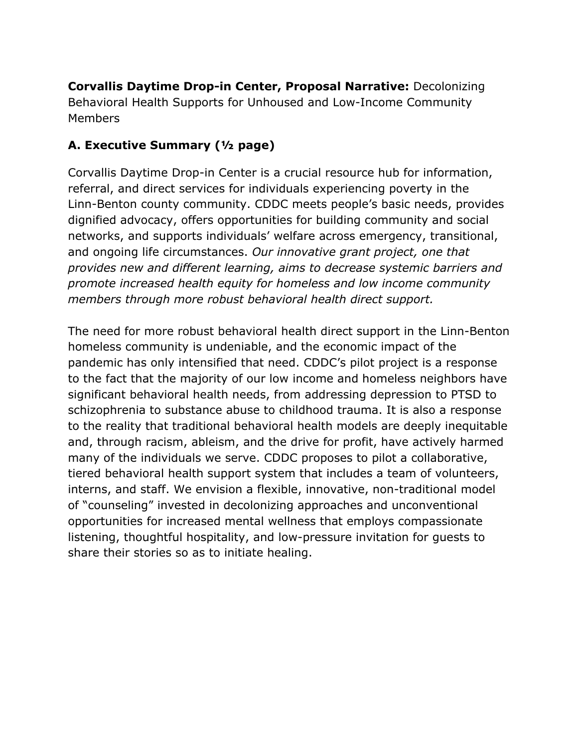**Corvallis Daytime Drop-in Center, Proposal Narrative:** Decolonizing Behavioral Health Supports for Unhoused and Low-Income Community Members

#### **A. Executive Summary (½ page)**

Corvallis Daytime Drop-in Center is a crucial resource hub for information, referral, and direct services for individuals experiencing poverty in the Linn-Benton county community. CDDC meets people's basic needs, provides dignified advocacy, offers opportunities for building community and social networks, and supports individuals' welfare across emergency, transitional, and ongoing life circumstances. *Our innovative grant project, one that provides new and different learning, aims to decrease systemic barriers and promote increased health equity for homeless and low income community members through more robust behavioral health direct support.*

The need for more robust behavioral health direct support in the Linn-Benton homeless community is undeniable, and the economic impact of the pandemic has only intensified that need. CDDC's pilot project is a response to the fact that the majority of our low income and homeless neighbors have significant behavioral health needs, from addressing depression to PTSD to schizophrenia to substance abuse to childhood trauma. It is also a response to the reality that traditional behavioral health models are deeply inequitable and, through racism, ableism, and the drive for profit, have actively harmed many of the individuals we serve. CDDC proposes to pilot a collaborative, tiered behavioral health support system that includes a team of volunteers, interns, and staff. We envision a flexible, innovative, non-traditional model of "counseling" invested in decolonizing approaches and unconventional opportunities for increased mental wellness that employs compassionate listening, thoughtful hospitality, and low-pressure invitation for guests to share their stories so as to initiate healing.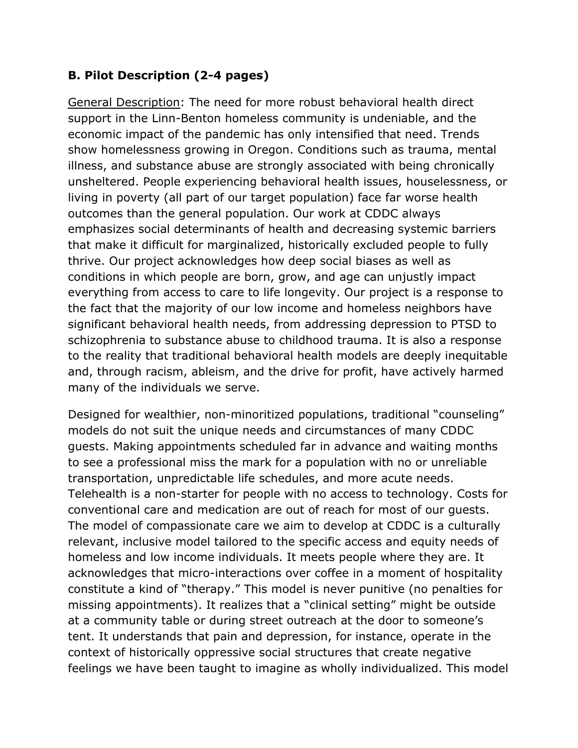#### **B. Pilot Description (2-4 pages)**

General Description: The need for more robust behavioral health direct support in the Linn-Benton homeless community is undeniable, and the economic impact of the pandemic has only intensified that need. Trends show homelessness growing in Oregon. Conditions such as trauma, mental illness, and substance abuse are strongly associated with being chronically unsheltered. People experiencing behavioral health issues, houselessness, or living in poverty (all part of our target population) face far worse health outcomes than the general population. Our work at CDDC always emphasizes social determinants of health and decreasing systemic barriers that make it difficult for marginalized, historically excluded people to fully thrive. Our project acknowledges how deep social biases as well as conditions in which people are born, grow, and age can unjustly impact everything from access to care to life longevity. Our project is a response to the fact that the majority of our low income and homeless neighbors have significant behavioral health needs, from addressing depression to PTSD to schizophrenia to substance abuse to childhood trauma. It is also a response to the reality that traditional behavioral health models are deeply inequitable and, through racism, ableism, and the drive for profit, have actively harmed many of the individuals we serve.

Designed for wealthier, non-minoritized populations, traditional "counseling" models do not suit the unique needs and circumstances of many CDDC guests. Making appointments scheduled far in advance and waiting months to see a professional miss the mark for a population with no or unreliable transportation, unpredictable life schedules, and more acute needs. Telehealth is a non-starter for people with no access to technology. Costs for conventional care and medication are out of reach for most of our guests. The model of compassionate care we aim to develop at CDDC is a culturally relevant, inclusive model tailored to the specific access and equity needs of homeless and low income individuals. It meets people where they are. It acknowledges that micro-interactions over coffee in a moment of hospitality constitute a kind of "therapy." This model is never punitive (no penalties for missing appointments). It realizes that a "clinical setting" might be outside at a community table or during street outreach at the door to someone's tent. It understands that pain and depression, for instance, operate in the context of historically oppressive social structures that create negative feelings we have been taught to imagine as wholly individualized. This model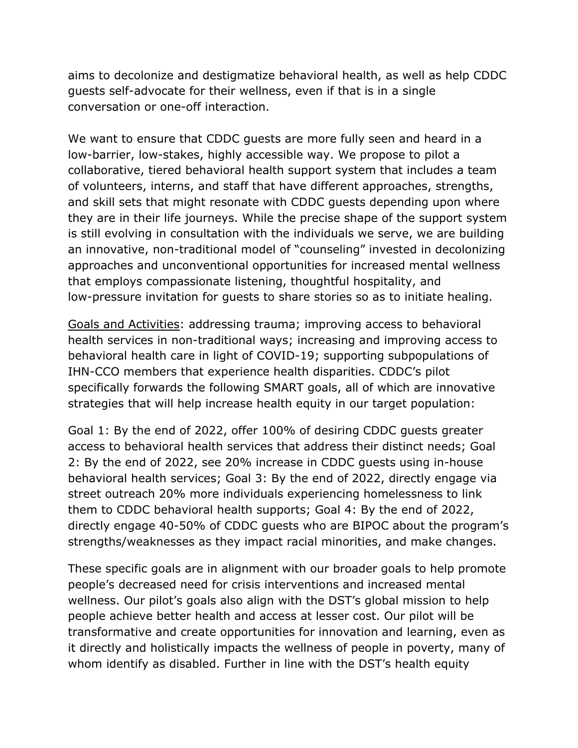aims to decolonize and destigmatize behavioral health, as well as help CDDC guests self-advocate for their wellness, even if that is in a single conversation or one-off interaction.

We want to ensure that CDDC guests are more fully seen and heard in a low-barrier, low-stakes, highly accessible way. We propose to pilot a collaborative, tiered behavioral health support system that includes a team of volunteers, interns, and staff that have different approaches, strengths, and skill sets that might resonate with CDDC guests depending upon where they are in their life journeys. While the precise shape of the support system is still evolving in consultation with the individuals we serve, we are building an innovative, non-traditional model of "counseling" invested in decolonizing approaches and unconventional opportunities for increased mental wellness that employs compassionate listening, thoughtful hospitality, and low-pressure invitation for guests to share stories so as to initiate healing.

Goals and Activities: addressing trauma; improving access to behavioral health services in non-traditional ways; increasing and improving access to behavioral health care in light of COVID-19; supporting subpopulations of IHN-CCO members that experience health disparities. CDDC's pilot specifically forwards the following SMART goals, all of which are innovative strategies that will help increase health equity in our target population:

Goal 1: By the end of 2022, offer 100% of desiring CDDC guests greater access to behavioral health services that address their distinct needs; Goal 2: By the end of 2022, see 20% increase in CDDC guests using in-house behavioral health services; Goal 3: By the end of 2022, directly engage via street outreach 20% more individuals experiencing homelessness to link them to CDDC behavioral health supports; Goal 4: By the end of 2022, directly engage 40-50% of CDDC guests who are BIPOC about the program's strengths/weaknesses as they impact racial minorities, and make changes.

These specific goals are in alignment with our broader goals to help promote people's decreased need for crisis interventions and increased mental wellness. Our pilot's goals also align with the DST's global mission to help people achieve better health and access at lesser cost. Our pilot will be transformative and create opportunities for innovation and learning, even as it directly and holistically impacts the wellness of people in poverty, many of whom identify as disabled. Further in line with the DST's health equity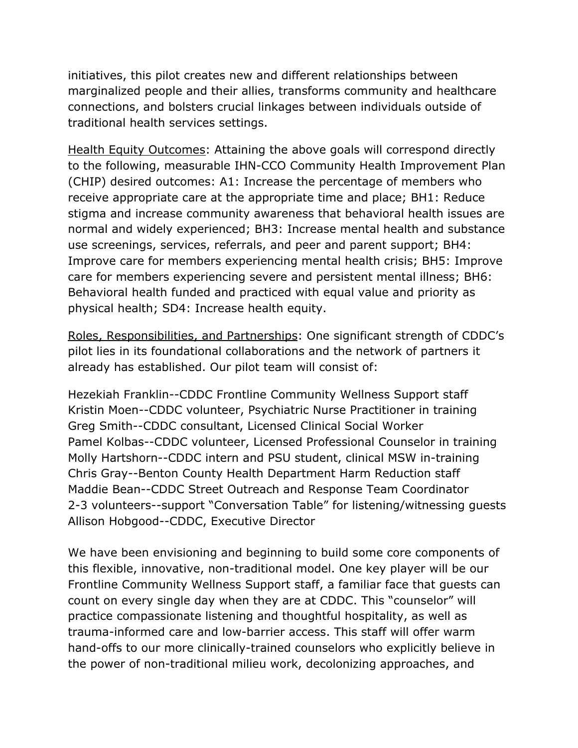initiatives, this pilot creates new and different relationships between marginalized people and their allies, transforms community and healthcare connections, and bolsters crucial linkages between individuals outside of traditional health services settings.

Health Equity Outcomes: Attaining the above goals will correspond directly to the following, measurable IHN-CCO Community Health Improvement Plan (CHIP) desired outcomes: A1: Increase the percentage of members who receive appropriate care at the appropriate time and place; BH1: Reduce stigma and increase community awareness that behavioral health issues are normal and widely experienced; BH3: Increase mental health and substance use screenings, services, referrals, and peer and parent support; BH4: Improve care for members experiencing mental health crisis; BH5: Improve care for members experiencing severe and persistent mental illness; BH6: Behavioral health funded and practiced with equal value and priority as physical health; SD4: Increase health equity.

Roles, Responsibilities, and Partnerships: One significant strength of CDDC's pilot lies in its foundational collaborations and the network of partners it already has established. Our pilot team will consist of:

Hezekiah Franklin--CDDC Frontline Community Wellness Support staff Kristin Moen--CDDC volunteer, Psychiatric Nurse Practitioner in training Greg Smith--CDDC consultant, Licensed Clinical Social Worker Pamel Kolbas--CDDC volunteer, Licensed Professional Counselor in training Molly Hartshorn--CDDC intern and PSU student, clinical MSW in-training Chris Gray--Benton County Health Department Harm Reduction staff Maddie Bean--CDDC Street Outreach and Response Team Coordinator 2-3 volunteers--support "Conversation Table" for listening/witnessing guests Allison Hobgood--CDDC, Executive Director

We have been envisioning and beginning to build some core components of this flexible, innovative, non-traditional model. One key player will be our Frontline Community Wellness Support staff, a familiar face that guests can count on every single day when they are at CDDC. This "counselor" will practice compassionate listening and thoughtful hospitality, as well as trauma-informed care and low-barrier access. This staff will offer warm hand-offs to our more clinically-trained counselors who explicitly believe in the power of non-traditional milieu work, decolonizing approaches, and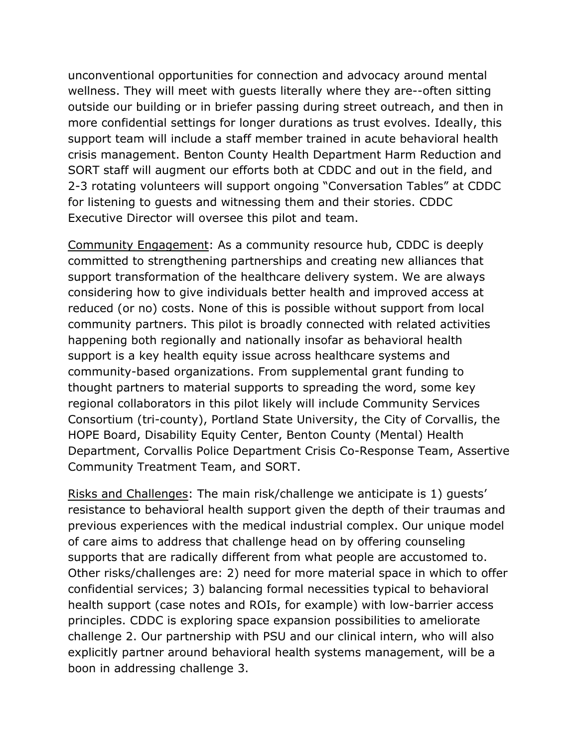unconventional opportunities for connection and advocacy around mental wellness. They will meet with guests literally where they are--often sitting outside our building or in briefer passing during street outreach, and then in more confidential settings for longer durations as trust evolves. Ideally, this support team will include a staff member trained in acute behavioral health crisis management. Benton County Health Department Harm Reduction and SORT staff will augment our efforts both at CDDC and out in the field, and 2-3 rotating volunteers will support ongoing "Conversation Tables" at CDDC for listening to guests and witnessing them and their stories. CDDC Executive Director will oversee this pilot and team.

Community Engagement: As a community resource hub, CDDC is deeply committed to strengthening partnerships and creating new alliances that support transformation of the healthcare delivery system. We are always considering how to give individuals better health and improved access at reduced (or no) costs. None of this is possible without support from local community partners. This pilot is broadly connected with related activities happening both regionally and nationally insofar as behavioral health support is a key health equity issue across healthcare systems and community-based organizations. From supplemental grant funding to thought partners to material supports to spreading the word, some key regional collaborators in this pilot likely will include Community Services Consortium (tri-county), Portland State University, the City of Corvallis, the HOPE Board, Disability Equity Center, Benton County (Mental) Health Department, Corvallis Police Department Crisis Co-Response Team, Assertive Community Treatment Team, and SORT.

Risks and Challenges: The main risk/challenge we anticipate is 1) guests' resistance to behavioral health support given the depth of their traumas and previous experiences with the medical industrial complex. Our unique model of care aims to address that challenge head on by offering counseling supports that are radically different from what people are accustomed to. Other risks/challenges are: 2) need for more material space in which to offer confidential services; 3) balancing formal necessities typical to behavioral health support (case notes and ROIs, for example) with low-barrier access principles. CDDC is exploring space expansion possibilities to ameliorate challenge 2. Our partnership with PSU and our clinical intern, who will also explicitly partner around behavioral health systems management, will be a boon in addressing challenge 3.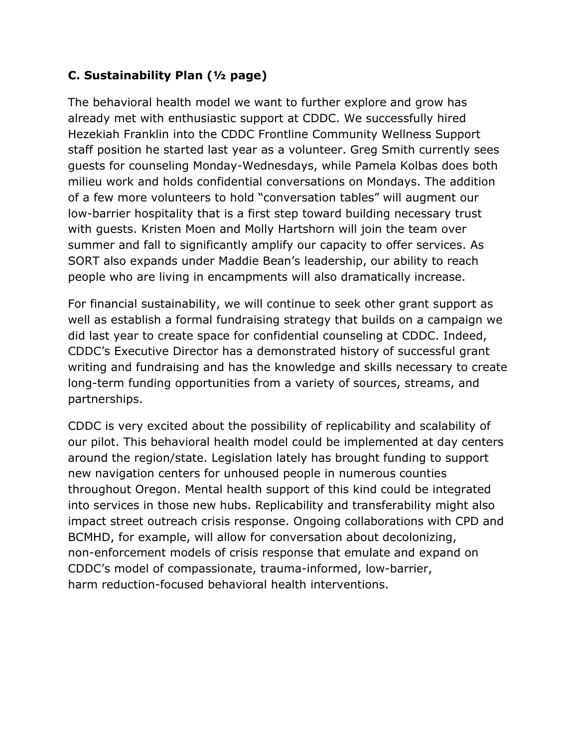## **C. Sustainability Plan (½ page)**

The behavioral health model we want to further explore and grow has already met with enthusiastic support at CDDC. We successfully hired Hezekiah Franklin into the CDDC Frontline Community Wellness Support staff position he started last year as a volunteer. Greg Smith currently sees guests for counseling Monday-Wednesdays, while Pamela Kolbas does both milieu work and holds confidential conversations on Mondays. The addition of a few more volunteers to hold "conversation tables" will augment our low-barrier hospitality that is a first step toward building necessary trust with guests. Kristen Moen and Molly Hartshorn will join the team over summer and fall to significantly amplify our capacity to offer services. As SORT also expands under Maddie Bean's leadership, our ability to reach people who are living in encampments will also dramatically increase.

For financial sustainability, we will continue to seek other grant support as well as establish a formal fundraising strategy that builds on a campaign we did last year to create space for confidential counseling at CDDC. Indeed, CDDC's Executive Director has a demonstrated history of successful grant writing and fundraising and has the knowledge and skills necessary to create long-term funding opportunities from a variety of sources, streams, and partnerships.

CDDC is very excited about the possibility of replicability and scalability of our pilot. This behavioral health model could be implemented at day centers around the region/state. Legislation lately has brought funding to support new navigation centers for unhoused people in numerous counties throughout Oregon. Mental health support of this kind could be integrated into services in those new hubs. Replicability and transferability might also impact street outreach crisis response. Ongoing collaborations with CPD and BCMHD, for example, will allow for conversation about decolonizing, non-enforcement models of crisis response that emulate and expand on CDDC's model of compassionate, trauma-informed, low-barrier, harm reduction-focused behavioral health interventions.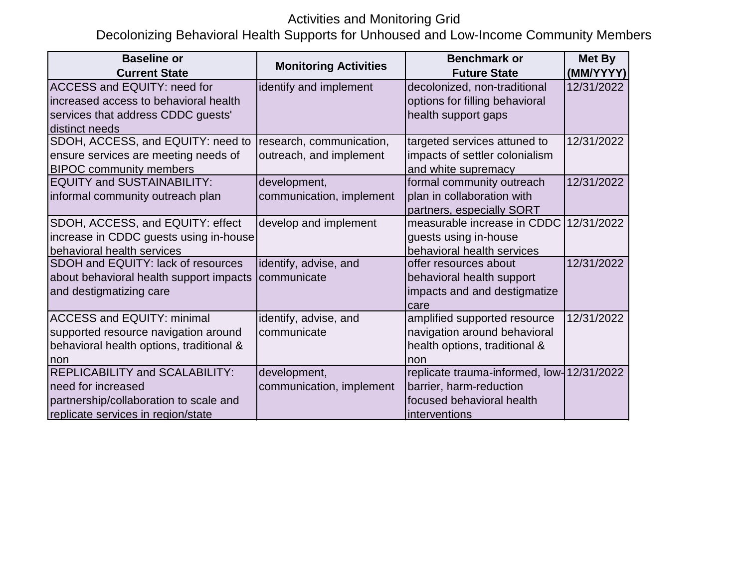## Activities and Monitoring Grid

Decolonizing Behavioral Health Supports for Unhoused and Low-Income Community Members

| <b>Baseline or</b>                       | <b>Monitoring Activities</b> | <b>Benchmark or</b>                       | <b>Met By</b> |
|------------------------------------------|------------------------------|-------------------------------------------|---------------|
| <b>Current State</b>                     |                              | <b>Future State</b>                       | (MM/YYYY)     |
| <b>ACCESS and EQUITY: need for</b>       | identify and implement       | decolonized, non-traditional              | 12/31/2022    |
| increased access to behavioral health    |                              | options for filling behavioral            |               |
| services that address CDDC guests'       |                              | health support gaps                       |               |
| distinct needs                           |                              |                                           |               |
| SDOH, ACCESS, and EQUITY: need to        | research, communication,     | targeted services attuned to              | 12/31/2022    |
| ensure services are meeting needs of     | outreach, and implement      | impacts of settler colonialism            |               |
| <b>BIPOC community members</b>           |                              | and white supremacy                       |               |
| <b>EQUITY and SUSTAINABILITY:</b>        | development,                 | formal community outreach                 | 12/31/2022    |
| informal community outreach plan         | communication, implement     | plan in collaboration with                |               |
|                                          |                              | partners, especially SORT                 |               |
| SDOH, ACCESS, and EQUITY: effect         | develop and implement        | measurable increase in CDDC               | 12/31/2022    |
| increase in CDDC guests using in-house   |                              | guests using in-house                     |               |
| behavioral health services               |                              | behavioral health services                |               |
| SDOH and EQUITY: lack of resources       | identify, advise, and        | offer resources about                     | 12/31/2022    |
| about behavioral health support impacts  | communicate                  | behavioral health support                 |               |
| and destigmatizing care                  |                              | impacts and and destigmatize              |               |
|                                          |                              | care                                      |               |
| <b>ACCESS and EQUITY: minimal</b>        | identify, advise, and        | amplified supported resource              | 12/31/2022    |
| supported resource navigation around     | communicate                  | navigation around behavioral              |               |
| behavioral health options, traditional & |                              | health options, traditional &             |               |
| non                                      |                              | non                                       |               |
| <b>REPLICABILITY and SCALABILITY:</b>    | development,                 | replicate trauma-informed, low-12/31/2022 |               |
| need for increased                       | communication, implement     | barrier, harm-reduction                   |               |
| partnership/collaboration to scale and   |                              | focused behavioral health                 |               |
| replicate services in region/state       |                              | interventions                             |               |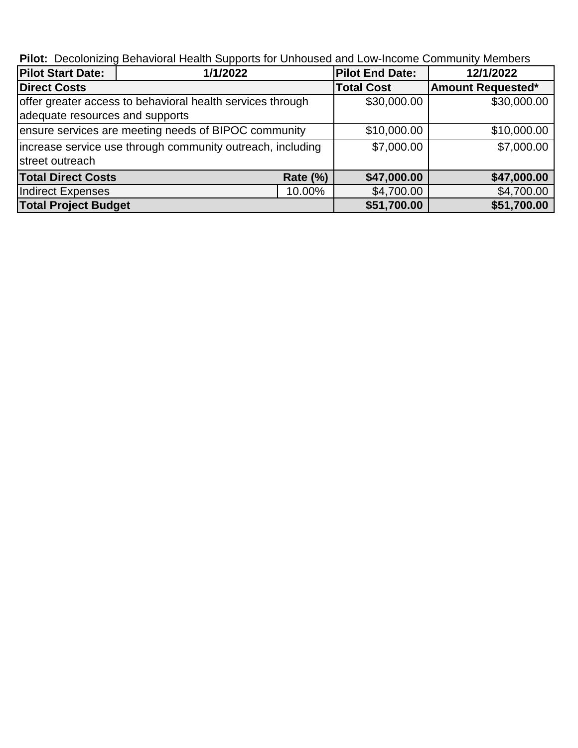**Pilot:** Decolonizing Behavioral Health Supports for Unhoused and Low-Income Community Members

| <b>Pilot Start Date:</b>                                   | 1/1/2022                                                   |                 | <b>Pilot End Date:</b> | 12/1/2022                |
|------------------------------------------------------------|------------------------------------------------------------|-----------------|------------------------|--------------------------|
| <b>Direct Costs</b>                                        |                                                            |                 | <b>Total Cost</b>      | <b>Amount Requested*</b> |
|                                                            | offer greater access to behavioral health services through |                 | \$30,000.00            | \$30,000.00              |
| adequate resources and supports                            |                                                            |                 |                        |                          |
| ensure services are meeting needs of BIPOC community       |                                                            | \$10,000.00     | \$10,000.00            |                          |
| increase service use through community outreach, including |                                                            | \$7,000.00      | \$7,000.00             |                          |
| street outreach                                            |                                                            |                 |                        |                          |
| <b>Total Direct Costs</b>                                  |                                                            | <b>Rate (%)</b> | \$47,000.00            | \$47,000.00              |
| Indirect Expenses                                          |                                                            | 10.00%          | \$4,700.00             | \$4,700.00               |
| <b>Total Project Budget</b>                                |                                                            |                 | \$51,700.00            | \$51,700.00              |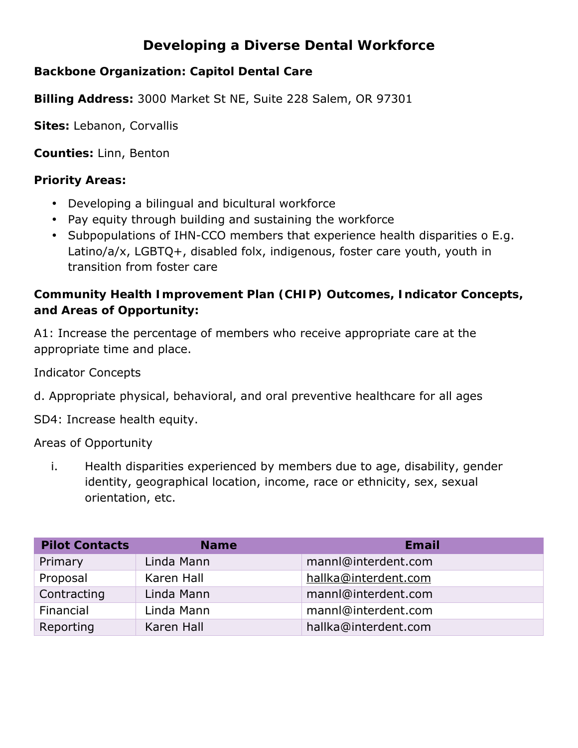## **Developing a Diverse Dental Workforce**

**Backbone Organization: Capitol Dental Care**

**Billing Address:** 3000 Market St NE, Suite 228 Salem, OR 97301

**Sites:** Lebanon, Corvallis

**Counties:** Linn, Benton

**Priority Areas:**

- Developing a bilingual and bicultural workforce
- Pay equity through building and sustaining the workforce
- Subpopulations of IHN-CCO members that experience health disparities o E.g. Latino/a/x, LGBTQ+, disabled folx, indigenous, foster care youth, youth in transition from foster care

**Community Health Improvement Plan (CHIP) Outcomes, Indicator Concepts, and Areas of Opportunity:**

A1: Increase the percentage of members who receive appropriate care at the appropriate time and place.

Indicator Concepts

d. Appropriate physical, behavioral, and oral preventive healthcare for all ages

SD4: Increase health equity.

Areas of Opportunity

i. Health disparities experienced by members due to age, disability, gender identity, geographical location, income, race or ethnicity, sex, sexual orientation, etc.

| <b>Pilot Contacts</b> | <b>Name</b> | Email                |
|-----------------------|-------------|----------------------|
| Primary               | Linda Mann  | mannl@interdent.com  |
| Proposal              | Karen Hall  | hallka@interdent.com |
| Contracting           | Linda Mann  | mannl@interdent.com  |
| Financial             | Linda Mann  | mannl@interdent.com  |
| Reporting             | Karen Hall  | hallka@interdent.com |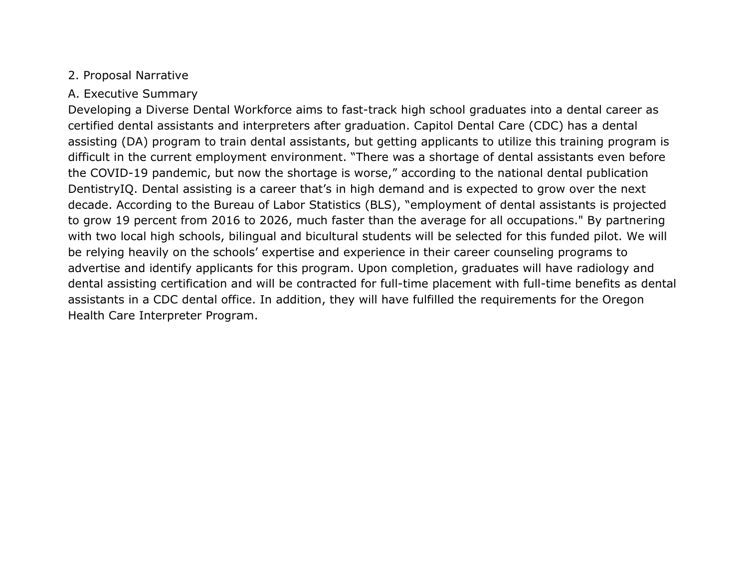#### 2. Proposal Narrative

#### A. Executive Summary

Developing a Diverse Dental Workforce aims to fast-track high school graduates into a dental career as certified dental assistants and interpreters after graduation. Capitol Dental Care (CDC) has a dental assisting (DA) program to train dental assistants, but getting applicants to utilize this training program is difficult in the current employment environment. "There was a shortage of dental assistants even before the COVID-19 pandemic, but now the shortage is worse," according to the national dental publication DentistryIQ. Dental assisting is a career that's in high demand and is expected to grow over the next decade. According to the Bureau of Labor Statistics (BLS), "employment of dental assistants is projected to grow 19 percent from 2016 to 2026, much faster than the average for all occupations." By partnering with two local high schools, bilingual and bicultural students will be selected for this funded pilot. We will be relying heavily on the schools' expertise and experience in their career counseling programs to advertise and identify applicants for this program. Upon completion, graduates will have radiology and dental assisting certification and will be contracted for full-time placement with full-time benefits as dental assistants in a CDC dental office. In addition, they will have fulfilled the requirements for the Oregon Health Care Interpreter Program.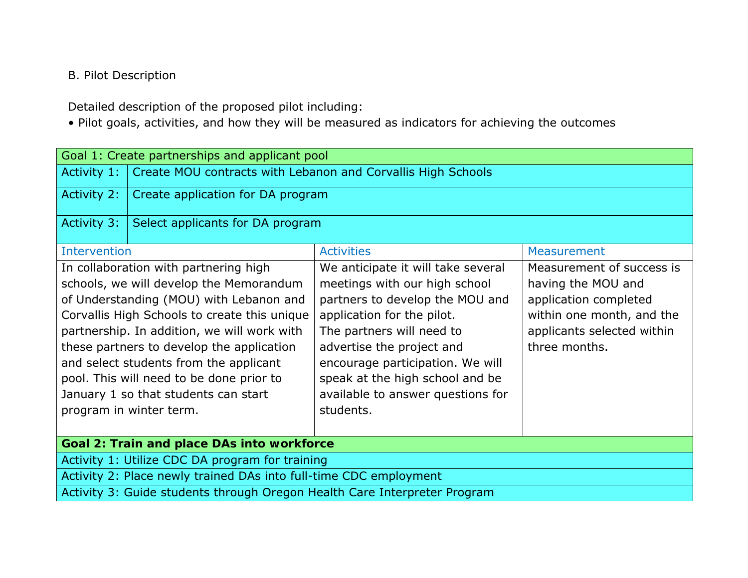## B. Pilot Description

Detailed description of the proposed pilot including:

• Pilot goals, activities, and how they will be measured as indicators for achieving the outcomes

| Goal 1: Create partnerships and applicant pool                                                         |                                                                           |                                    |                           |  |  |
|--------------------------------------------------------------------------------------------------------|---------------------------------------------------------------------------|------------------------------------|---------------------------|--|--|
| Activity 1:                                                                                            | Create MOU contracts with Lebanon and Corvallis High Schools              |                                    |                           |  |  |
| Activity 2:                                                                                            | Create application for DA program                                         |                                    |                           |  |  |
| Activity 3:                                                                                            | Select applicants for DA program                                          |                                    |                           |  |  |
| Intervention                                                                                           |                                                                           | <b>Activities</b>                  | Measurement               |  |  |
|                                                                                                        | In collaboration with partnering high                                     | We anticipate it will take several | Measurement of success is |  |  |
|                                                                                                        | schools, we will develop the Memorandum                                   | meetings with our high school      | having the MOU and        |  |  |
|                                                                                                        | of Understanding (MOU) with Lebanon and                                   | partners to develop the MOU and    | application completed     |  |  |
|                                                                                                        | Corvallis High Schools to create this unique                              | application for the pilot.         | within one month, and the |  |  |
| partnership. In addition, we will work with<br>The partners will need to<br>applicants selected within |                                                                           |                                    |                           |  |  |
| these partners to develop the application<br>advertise the project and<br>three months.                |                                                                           |                                    |                           |  |  |
| and select students from the applicant<br>encourage participation. We will                             |                                                                           |                                    |                           |  |  |
| pool. This will need to be done prior to<br>speak at the high school and be                            |                                                                           |                                    |                           |  |  |
|                                                                                                        | January 1 so that students can start<br>available to answer questions for |                                    |                           |  |  |
|                                                                                                        | students.<br>program in winter term.                                      |                                    |                           |  |  |
|                                                                                                        |                                                                           |                                    |                           |  |  |
| Goal 2: Train and place DAs into workforce                                                             |                                                                           |                                    |                           |  |  |
| Activity 1: Utilize CDC DA program for training                                                        |                                                                           |                                    |                           |  |  |
| Activity 2: Place newly trained DAs into full-time CDC employment                                      |                                                                           |                                    |                           |  |  |
| Activity 3: Guide students through Oregon Health Care Interpreter Program                              |                                                                           |                                    |                           |  |  |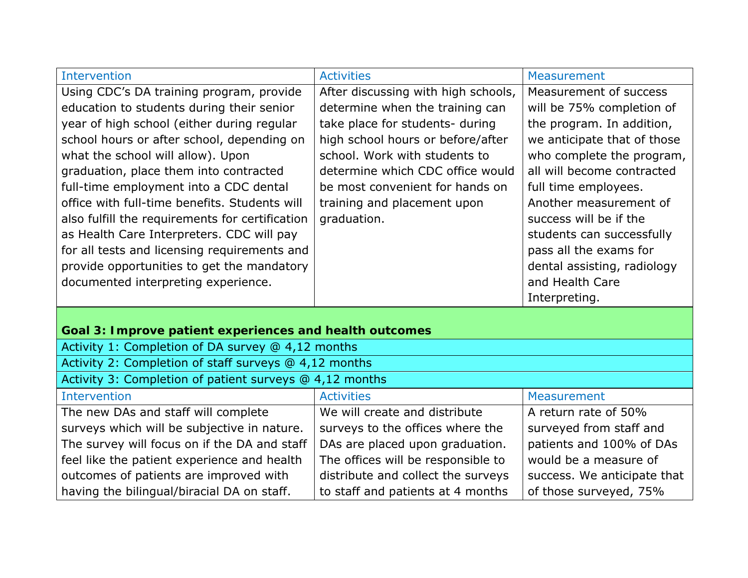| <b>Intervention</b>                                     | <b>Activities</b>                   | <b>Measurement</b>          |
|---------------------------------------------------------|-------------------------------------|-----------------------------|
| Using CDC's DA training program, provide                | After discussing with high schools, | Measurement of success      |
| education to students during their senior               | determine when the training can     | will be 75% completion of   |
| year of high school (either during regular              | take place for students- during     | the program. In addition,   |
| school hours or after school, depending on              | high school hours or before/after   | we anticipate that of those |
| what the school will allow). Upon                       | school. Work with students to       | who complete the program,   |
| graduation, place them into contracted                  | determine which CDC office would    | all will become contracted  |
| full-time employment into a CDC dental                  | be most convenient for hands on     | full time employees.        |
| office with full-time benefits. Students will           | training and placement upon         | Another measurement of      |
| also fulfill the requirements for certification         | graduation.                         | success will be if the      |
| as Health Care Interpreters. CDC will pay               |                                     | students can successfully   |
| for all tests and licensing requirements and            |                                     | pass all the exams for      |
| provide opportunities to get the mandatory              |                                     | dental assisting, radiology |
| documented interpreting experience.                     |                                     | and Health Care             |
|                                                         |                                     | Interpreting.               |
|                                                         |                                     |                             |
| Goal 3: Improve patient experiences and health outcomes |                                     |                             |
| Activity 1: Completion of DA survey @ 4,12 months       |                                     |                             |
| Activity 2: Completion of staff surveys @ 4,12 months   |                                     |                             |
| Activity 3: Completion of patient surveys @ 4,12 months |                                     |                             |
| <b>Intervention</b>                                     | <b>Activities</b>                   | <b>Measurement</b>          |
| The new DAs and staff will complete                     | We will create and distribute       | A return rate of 50%        |
| surveys which will be subjective in nature.             | surveys to the offices where the    | surveyed from staff and     |
| The survey will focus on if the DA and staff            | DAs are placed upon graduation.     | patients and 100% of DAs    |
| feel like the patient experience and health             | The offices will be responsible to  | would be a measure of       |
| outcomes of patients are improved with                  | distribute and collect the surveys  | success. We anticipate that |
| having the bilingual/biracial DA on staff.              | to staff and patients at 4 months   | of those surveyed, 75%      |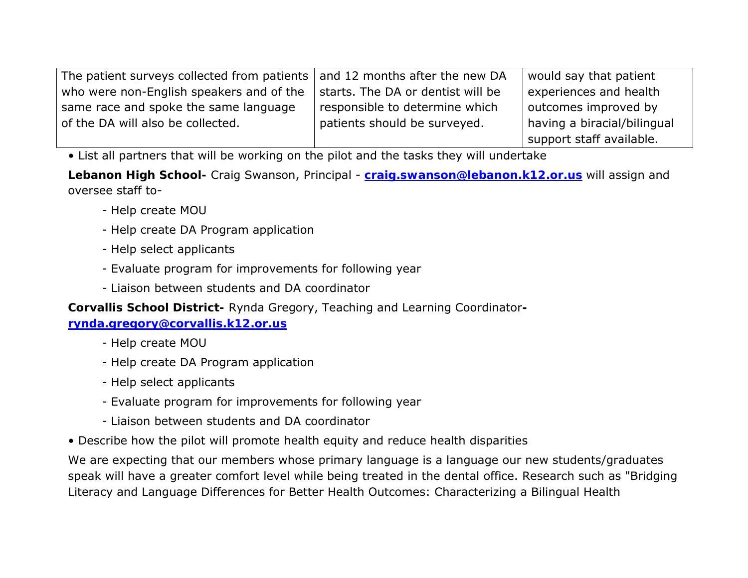| The patient surveys collected from patients $\vert$ and 12 months after the new DA |                                   | would say that patient      |
|------------------------------------------------------------------------------------|-----------------------------------|-----------------------------|
| who were non-English speakers and of the                                           | starts. The DA or dentist will be | experiences and health      |
| same race and spoke the same language                                              | responsible to determine which    | outcomes improved by        |
| of the DA will also be collected.                                                  | patients should be surveyed.      | having a biracial/bilingual |
|                                                                                    |                                   | support staff available.    |

• List all partners that will be working on the pilot and the tasks they will undertake

**Lebanon High School-** Craig Swanson, Principal - **craig.swanson@lebanon.k12.or.us** will assign and oversee staff to-

- Help create MOU
- Help create DA Program application
- Help select applicants
- Evaluate program for improvements for following year
- Liaison between students and DA coordinator

**Corvallis School District-** Rynda Gregory, Teaching and Learning Coordinator**-**

**rynda.gregory@corvallis.k12.or.us**

- Help create MOU
- Help create DA Program application
- Help select applicants
- Evaluate program for improvements for following year
- Liaison between students and DA coordinator
- Describe how the pilot will promote health equity and reduce health disparities

We are expecting that our members whose primary language is a language our new students/graduates speak will have a greater comfort level while being treated in the dental office. Research such as "Bridging Literacy and Language Differences for Better Health Outcomes: Characterizing a Bilingual Health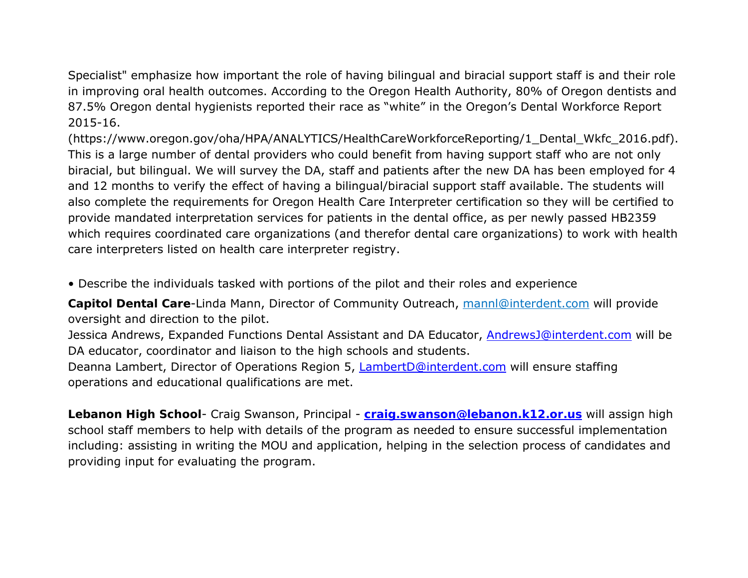Specialist" emphasize how important the role of having bilingual and biracial support staff is and their role in improving oral health outcomes. According to the Oregon Health Authority, 80% of Oregon dentists and 87.5% Oregon dental hygienists reported their race as "white" in the Oregon's Dental Workforce Report 2015-16.

(https://www.oregon.gov/oha/HPA/ANALYTICS/HealthCareWorkforceReporting/1\_Dental\_Wkfc\_2016.pdf). This is a large number of dental providers who could benefit from having support staff who are not only biracial, but bilingual. We will survey the DA, staff and patients after the new DA has been employed for 4 and 12 months to verify the effect of having a bilingual/biracial support staff available. The students will also complete the requirements for Oregon Health Care Interpreter certification so they will be certified to provide mandated interpretation services for patients in the dental office, as per newly passed HB2359 which requires coordinated care organizations (and therefor dental care organizations) to work with health care interpreters listed on health care interpreter registry.

• Describe the individuals tasked with portions of the pilot and their roles and experience

**Capitol Dental Care**-Linda Mann, Director of Community Outreach, mannl@interdent.com will provide oversight and direction to the pilot.

Jessica Andrews, Expanded Functions Dental Assistant and DA Educator, AndrewsJ@interdent.com will be DA educator, coordinator and liaison to the high schools and students.

Deanna Lambert, Director of Operations Region 5, LambertD@interdent.com will ensure staffing operations and educational qualifications are met.

**Lebanon High School**- Craig Swanson, Principal - **craig.swanson@lebanon.k12.or.us** will assign high school staff members to help with details of the program as needed to ensure successful implementation including: assisting in writing the MOU and application, helping in the selection process of candidates and providing input for evaluating the program.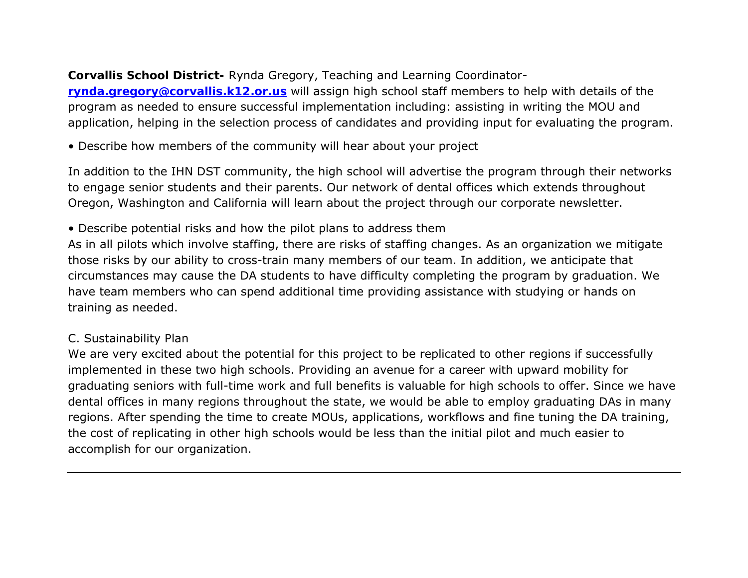**Corvallis School District-** Rynda Gregory, Teaching and Learning Coordinator**rynda.gregory@corvallis.k12.or.us** will assign high school staff members to help with details of the program as needed to ensure successful implementation including: assisting in writing the MOU and application, helping in the selection process of candidates and providing input for evaluating the program.

• Describe how members of the community will hear about your project

In addition to the IHN DST community, the high school will advertise the program through their networks to engage senior students and their parents. Our network of dental offices which extends throughout Oregon, Washington and California will learn about the project through our corporate newsletter.

• Describe potential risks and how the pilot plans to address them

As in all pilots which involve staffing, there are risks of staffing changes. As an organization we mitigate those risks by our ability to cross-train many members of our team. In addition, we anticipate that circumstances may cause the DA students to have difficulty completing the program by graduation. We have team members who can spend additional time providing assistance with studying or hands on training as needed.

#### C. Sustainability Plan

We are very excited about the potential for this project to be replicated to other regions if successfully implemented in these two high schools. Providing an avenue for a career with upward mobility for graduating seniors with full-time work and full benefits is valuable for high schools to offer. Since we have dental offices in many regions throughout the state, we would be able to employ graduating DAs in many regions. After spending the time to create MOUs, applications, workflows and fine tuning the DA training, the cost of replicating in other high schools would be less than the initial pilot and much easier to accomplish for our organization.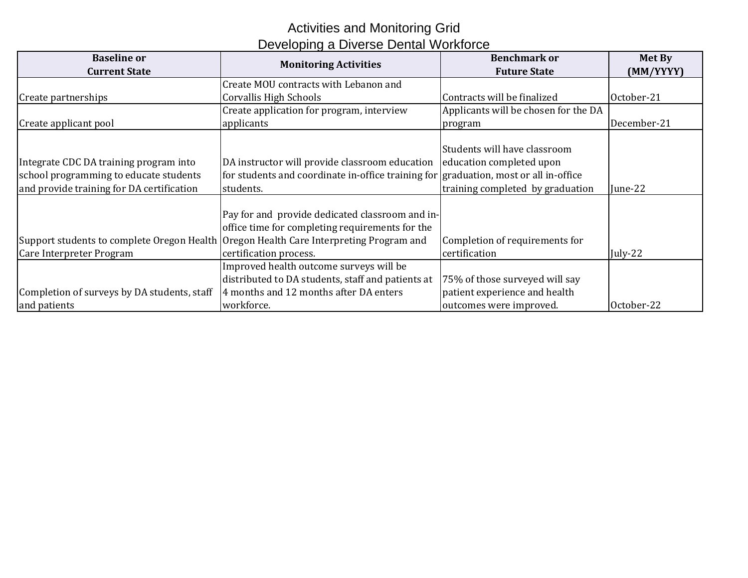## Activities and Monitoring Grid Developing a Diverse Dental Workforce

| <b>Baseline or</b><br><b>Current State</b>                                                                                    | <b>Monitoring Activities</b>                                                                                                                                                                                           | <b>Benchmark or</b><br><b>Future State</b>                                                 | Met By<br>(MM/YYYY) |
|-------------------------------------------------------------------------------------------------------------------------------|------------------------------------------------------------------------------------------------------------------------------------------------------------------------------------------------------------------------|--------------------------------------------------------------------------------------------|---------------------|
|                                                                                                                               | Create MOU contracts with Lebanon and                                                                                                                                                                                  |                                                                                            |                     |
| Create partnerships                                                                                                           | Corvallis High Schools                                                                                                                                                                                                 | Contracts will be finalized                                                                | October-21          |
|                                                                                                                               | Create application for program, interview                                                                                                                                                                              | Applicants will be chosen for the DA                                                       |                     |
| Create applicant pool                                                                                                         | applicants                                                                                                                                                                                                             | program                                                                                    | December-21         |
| Integrate CDC DA training program into<br>school programming to educate students<br>and provide training for DA certification | DA instructor will provide classroom education education completed upon<br>for students and coordinate in-office training for graduation, most or all in-office<br>students.                                           | Students will have classroom<br>training completed by graduation                           | June-22             |
| Care Interpreter Program                                                                                                      | Pay for and provide dedicated classroom and in-<br>office time for completing requirements for the<br>Support students to complete Oregon Health Oregon Health Care Interpreting Program and<br>certification process. | Completion of requirements for<br>certification                                            | July-22             |
| Completion of surveys by DA students, staff<br>and patients                                                                   | Improved health outcome surveys will be<br>distributed to DA students, staff and patients at<br>4 months and 12 months after DA enters<br>workforce.                                                                   | 75% of those surveyed will say<br>patient experience and health<br>outcomes were improved. | October-22          |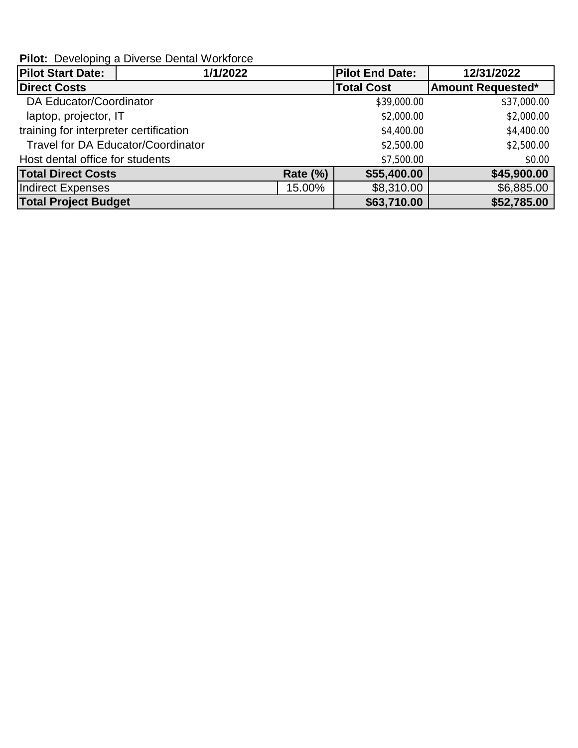**Pilot:** Developing a Diverse Dental Workforce

| <b>Pilot Start Date:</b>                  | 1/1/2022 |                 | <b>Pilot End Date:</b> | 12/31/2022               |
|-------------------------------------------|----------|-----------------|------------------------|--------------------------|
| <b>Direct Costs</b>                       |          |                 | <b>Total Cost</b>      | <b>Amount Requested*</b> |
| DA Educator/Coordinator                   |          |                 | \$39,000.00            | \$37,000.00              |
| laptop, projector, IT                     |          |                 | \$2,000.00             | \$2,000.00               |
| training for interpreter certification    |          |                 | \$4,400.00             | \$4,400.00               |
| <b>Travel for DA Educator/Coordinator</b> |          |                 | \$2,500.00             | \$2,500.00               |
| Host dental office for students           |          |                 | \$7,500.00             | \$0.00                   |
| <b>Total Direct Costs</b>                 |          | <b>Rate (%)</b> | \$55,400.00            | \$45,900.00              |
| <b>Indirect Expenses</b>                  |          | 15.00%          | \$8,310.00             | \$6,885.00               |
| <b>Total Project Budget</b>               |          |                 | \$63,710.00            | \$52,785.00              |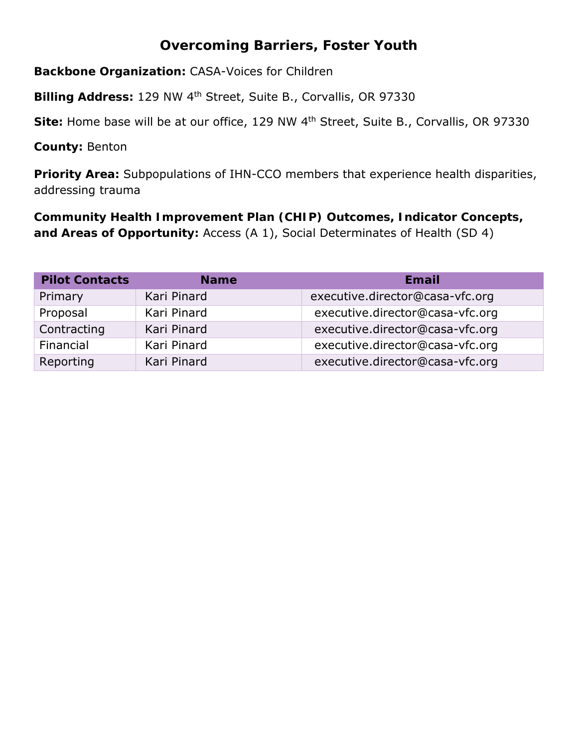## **Overcoming Barriers, Foster Youth**

**Backbone Organization:** CASA-Voices for Children

**Billing Address:** 129 NW 4th Street, Suite B., Corvallis, OR 97330

**Site:** Home base will be at our office, 129 NW 4th Street, Suite B., Corvallis, OR 97330

**County:** Benton

**Priority Area:** Subpopulations of IHN-CCO members that experience health disparities, addressing trauma

**Community Health Improvement Plan (CHIP) Outcomes, Indicator Concepts, and Areas of Opportunity:** Access (A 1), Social Determinates of Health (SD 4)

| <b>Pilot Contacts</b> | <b>Name</b> | Email                           |
|-----------------------|-------------|---------------------------------|
| Primary               | Kari Pinard | executive.director@casa-vfc.org |
| Proposal              | Kari Pinard | executive.director@casa-vfc.org |
| Contracting           | Kari Pinard | executive.director@casa-vfc.org |
| Financial             | Kari Pinard | executive.director@casa-vfc.org |
| Reporting             | Kari Pinard | executive.director@casa-vfc.org |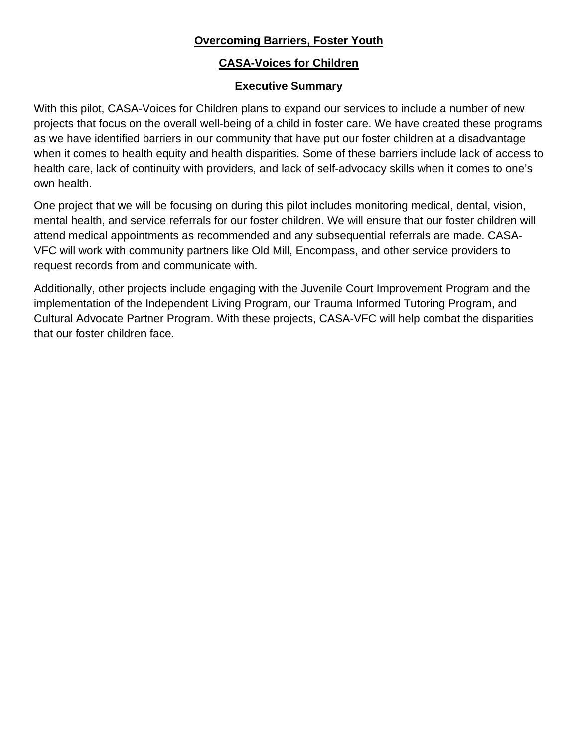#### **Overcoming Barriers, Foster Youth**

#### **CASA-Voices for Children**

#### **Executive Summary**

With this pilot, CASA-Voices for Children plans to expand our services to include a number of new projects that focus on the overall well-being of a child in foster care. We have created these programs as we have identified barriers in our community that have put our foster children at a disadvantage when it comes to health equity and health disparities. Some of these barriers include lack of access to health care, lack of continuity with providers, and lack of self-advocacy skills when it comes to one's own health.

One project that we will be focusing on during this pilot includes monitoring medical, dental, vision, mental health, and service referrals for our foster children. We will ensure that our foster children will attend medical appointments as recommended and any subsequential referrals are made. CASA-VFC will work with community partners like Old Mill, Encompass, and other service providers to request records from and communicate with.

Additionally, other projects include engaging with the Juvenile Court Improvement Program and the implementation of the Independent Living Program, our Trauma Informed Tutoring Program, and Cultural Advocate Partner Program. With these projects, CASA-VFC will help combat the disparities that our foster children face.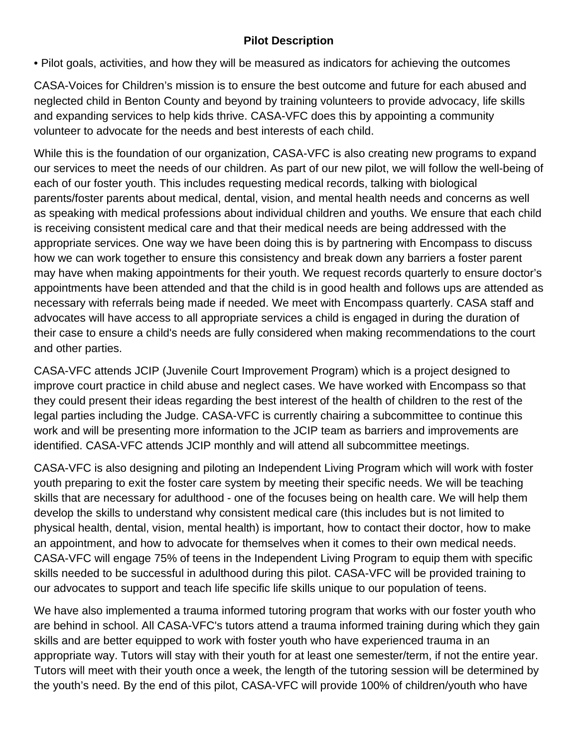#### **Pilot Description**

• Pilot goals, activities, and how they will be measured as indicators for achieving the outcomes

CASA-Voices for Children's mission is to ensure the best outcome and future for each abused and neglected child in Benton County and beyond by training volunteers to provide advocacy, life skills and expanding services to help kids thrive. CASA-VFC does this by appointing a community volunteer to advocate for the needs and best interests of each child.

While this is the foundation of our organization, CASA-VFC is also creating new programs to expand our services to meet the needs of our children. As part of our new pilot, we will follow the well-being of each of our foster youth. This includes requesting medical records, talking with biological parents/foster parents about medical, dental, vision, and mental health needs and concerns as well as speaking with medical professions about individual children and youths. We ensure that each child is receiving consistent medical care and that their medical needs are being addressed with the appropriate services. One way we have been doing this is by partnering with Encompass to discuss how we can work together to ensure this consistency and break down any barriers a foster parent may have when making appointments for their youth. We request records quarterly to ensure doctor's appointments have been attended and that the child is in good health and follows ups are attended as necessary with referrals being made if needed. We meet with Encompass quarterly. CASA staff and advocates will have access to all appropriate services a child is engaged in during the duration of their case to ensure a child's needs are fully considered when making recommendations to the court and other parties.

CASA-VFC attends JCIP (Juvenile Court Improvement Program) which is a project designed to improve court practice in child abuse and neglect cases. We have worked with Encompass so that they could present their ideas regarding the best interest of the health of children to the rest of the legal parties including the Judge. CASA-VFC is currently chairing a subcommittee to continue this work and will be presenting more information to the JCIP team as barriers and improvements are identified. CASA-VFC attends JCIP monthly and will attend all subcommittee meetings.

CASA-VFC is also designing and piloting an Independent Living Program which will work with foster youth preparing to exit the foster care system by meeting their specific needs. We will be teaching skills that are necessary for adulthood - one of the focuses being on health care. We will help them develop the skills to understand why consistent medical care (this includes but is not limited to physical health, dental, vision, mental health) is important, how to contact their doctor, how to make an appointment, and how to advocate for themselves when it comes to their own medical needs. CASA-VFC will engage 75% of teens in the Independent Living Program to equip them with specific skills needed to be successful in adulthood during this pilot. CASA-VFC will be provided training to our advocates to support and teach life specific life skills unique to our population of teens.

We have also implemented a trauma informed tutoring program that works with our foster youth who are behind in school. All CASA-VFC's tutors attend a trauma informed training during which they gain skills and are better equipped to work with foster youth who have experienced trauma in an appropriate way. Tutors will stay with their youth for at least one semester/term, if not the entire year. Tutors will meet with their youth once a week, the length of the tutoring session will be determined by the youth's need. By the end of this pilot, CASA-VFC will provide 100% of children/youth who have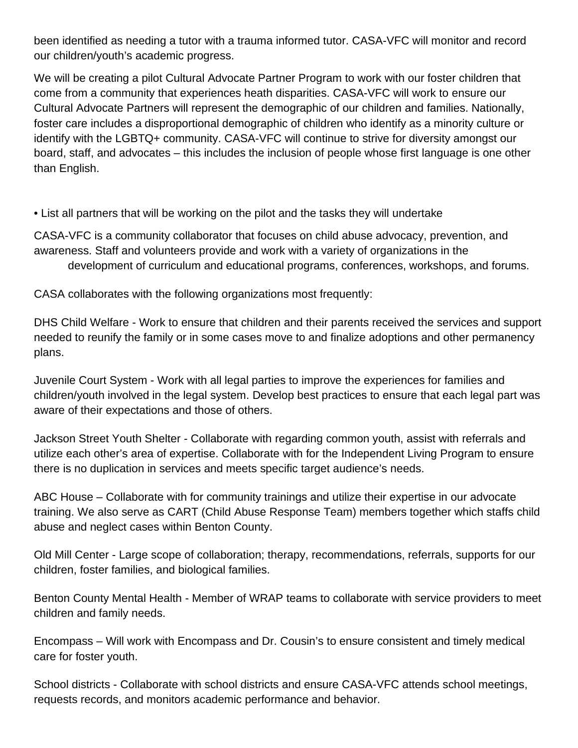been identified as needing a tutor with a trauma informed tutor. CASA-VFC will monitor and record our children/youth's academic progress.

We will be creating a pilot Cultural Advocate Partner Program to work with our foster children that come from a community that experiences heath disparities. CASA-VFC will work to ensure our Cultural Advocate Partners will represent the demographic of our children and families. Nationally, foster care includes a disproportional demographic of children who identify as a minority culture or identify with the LGBTQ+ community. CASA-VFC will continue to strive for diversity amongst our board, staff, and advocates – this includes the inclusion of people whose first language is one other than English.

• List all partners that will be working on the pilot and the tasks they will undertake

CASA-VFC is a community collaborator that focuses on child abuse advocacy, prevention, and awareness. Staff and volunteers provide and work with a variety of organizations in the development of curriculum and educational programs, conferences, workshops, and forums.

CASA collaborates with the following organizations most frequently:

DHS Child Welfare - Work to ensure that children and their parents received the services and support needed to reunify the family or in some cases move to and finalize adoptions and other permanency plans.

Juvenile Court System - Work with all legal parties to improve the experiences for families and children/youth involved in the legal system. Develop best practices to ensure that each legal part was aware of their expectations and those of others.

Jackson Street Youth Shelter - Collaborate with regarding common youth, assist with referrals and utilize each other's area of expertise. Collaborate with for the Independent Living Program to ensure there is no duplication in services and meets specific target audience's needs.

ABC House – Collaborate with for community trainings and utilize their expertise in our advocate training. We also serve as CART (Child Abuse Response Team) members together which staffs child abuse and neglect cases within Benton County.

Old Mill Center - Large scope of collaboration; therapy, recommendations, referrals, supports for our children, foster families, and biological families.

Benton County Mental Health - Member of WRAP teams to collaborate with service providers to meet children and family needs.

Encompass – Will work with Encompass and Dr. Cousin's to ensure consistent and timely medical care for foster youth.

School districts - Collaborate with school districts and ensure CASA-VFC attends school meetings, requests records, and monitors academic performance and behavior.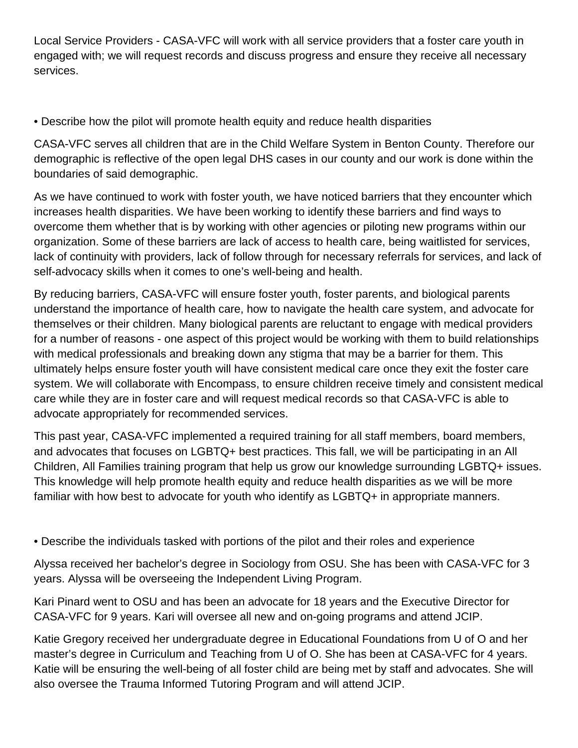Local Service Providers - CASA-VFC will work with all service providers that a foster care youth in engaged with; we will request records and discuss progress and ensure they receive all necessary services.

• Describe how the pilot will promote health equity and reduce health disparities

CASA-VFC serves all children that are in the Child Welfare System in Benton County. Therefore our demographic is reflective of the open legal DHS cases in our county and our work is done within the boundaries of said demographic.

As we have continued to work with foster youth, we have noticed barriers that they encounter which increases health disparities. We have been working to identify these barriers and find ways to overcome them whether that is by working with other agencies or piloting new programs within our organization. Some of these barriers are lack of access to health care, being waitlisted for services, lack of continuity with providers, lack of follow through for necessary referrals for services, and lack of self-advocacy skills when it comes to one's well-being and health.

By reducing barriers, CASA-VFC will ensure foster youth, foster parents, and biological parents understand the importance of health care, how to navigate the health care system, and advocate for themselves or their children. Many biological parents are reluctant to engage with medical providers for a number of reasons - one aspect of this project would be working with them to build relationships with medical professionals and breaking down any stigma that may be a barrier for them. This ultimately helps ensure foster youth will have consistent medical care once they exit the foster care system. We will collaborate with Encompass, to ensure children receive timely and consistent medical care while they are in foster care and will request medical records so that CASA-VFC is able to advocate appropriately for recommended services.

This past year, CASA-VFC implemented a required training for all staff members, board members, and advocates that focuses on LGBTQ+ best practices. This fall, we will be participating in an All Children, All Families training program that help us grow our knowledge surrounding LGBTQ+ issues. This knowledge will help promote health equity and reduce health disparities as we will be more familiar with how best to advocate for youth who identify as LGBTQ+ in appropriate manners.

• Describe the individuals tasked with portions of the pilot and their roles and experience

Alyssa received her bachelor's degree in Sociology from OSU. She has been with CASA-VFC for 3 years. Alyssa will be overseeing the Independent Living Program.

Kari Pinard went to OSU and has been an advocate for 18 years and the Executive Director for CASA-VFC for 9 years. Kari will oversee all new and on-going programs and attend JCIP.

Katie Gregory received her undergraduate degree in Educational Foundations from U of O and her master's degree in Curriculum and Teaching from U of O. She has been at CASA-VFC for 4 years. Katie will be ensuring the well-being of all foster child are being met by staff and advocates. She will also oversee the Trauma Informed Tutoring Program and will attend JCIP.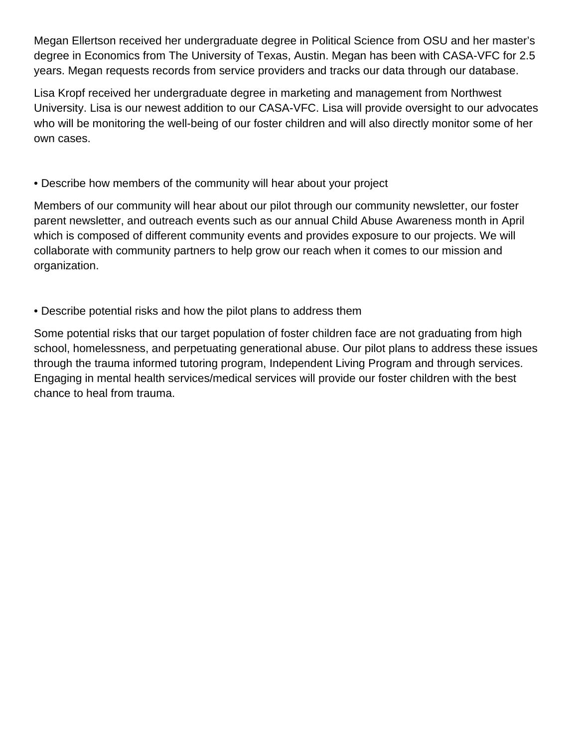Megan Ellertson received her undergraduate degree in Political Science from OSU and her master's degree in Economics from The University of Texas, Austin. Megan has been with CASA-VFC for 2.5 years. Megan requests records from service providers and tracks our data through our database.

Lisa Kropf received her undergraduate degree in marketing and management from Northwest University. Lisa is our newest addition to our CASA-VFC. Lisa will provide oversight to our advocates who will be monitoring the well-being of our foster children and will also directly monitor some of her own cases.

#### • Describe how members of the community will hear about your project

Members of our community will hear about our pilot through our community newsletter, our foster parent newsletter, and outreach events such as our annual Child Abuse Awareness month in April which is composed of different community events and provides exposure to our projects. We will collaborate with community partners to help grow our reach when it comes to our mission and organization.

#### • Describe potential risks and how the pilot plans to address them

Some potential risks that our target population of foster children face are not graduating from high school, homelessness, and perpetuating generational abuse. Our pilot plans to address these issues through the trauma informed tutoring program, Independent Living Program and through services. Engaging in mental health services/medical services will provide our foster children with the best chance to heal from trauma.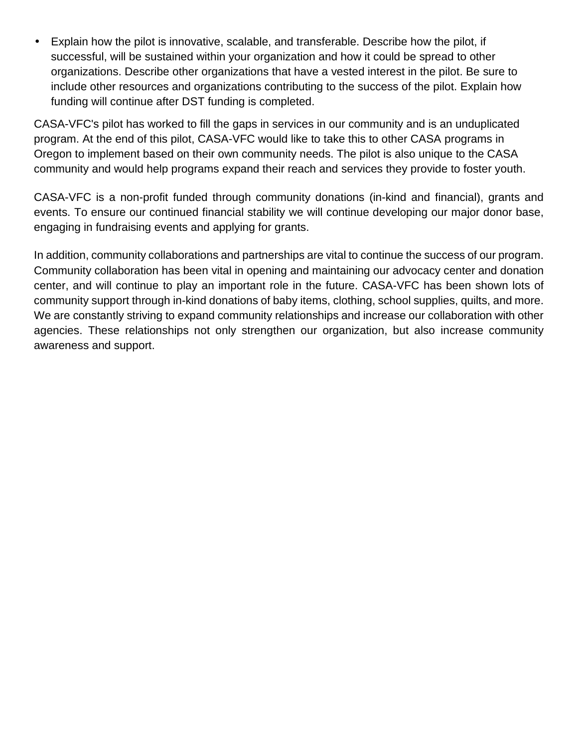Explain how the pilot is innovative, scalable, and transferable. Describe how the pilot, if ä, successful, will be sustained within your organization and how it could be spread to other organizations. Describe other organizations that have a vested interest in the pilot. Be sure to include other resources and organizations contributing to the success of the pilot. Explain how funding will continue after DST funding is completed.

CASA-VFC's pilot has worked to fill the gaps in services in our community and is an unduplicated program. At the end of this pilot, CASA-VFC would like to take this to other CASA programs in Oregon to implement based on their own community needs. The pilot is also unique to the CASA community and would help programs expand their reach and services they provide to foster youth.

CASA-VFC is a non-profit funded through community donations (in-kind and financial), grants and events. To ensure our continued financial stability we will continue developing our major donor base, engaging in fundraising events and applying for grants.

In addition, community collaborations and partnerships are vital to continue the success of our program. Community collaboration has been vital in opening and maintaining our advocacy center and donation center, and will continue to play an important role in the future. CASA-VFC has been shown lots of community support through in-kind donations of baby items, clothing, school supplies, quilts, and more. We are constantly striving to expand community relationships and increase our collaboration with other agencies. These relationships not only strengthen our organization, but also increase community awareness and support.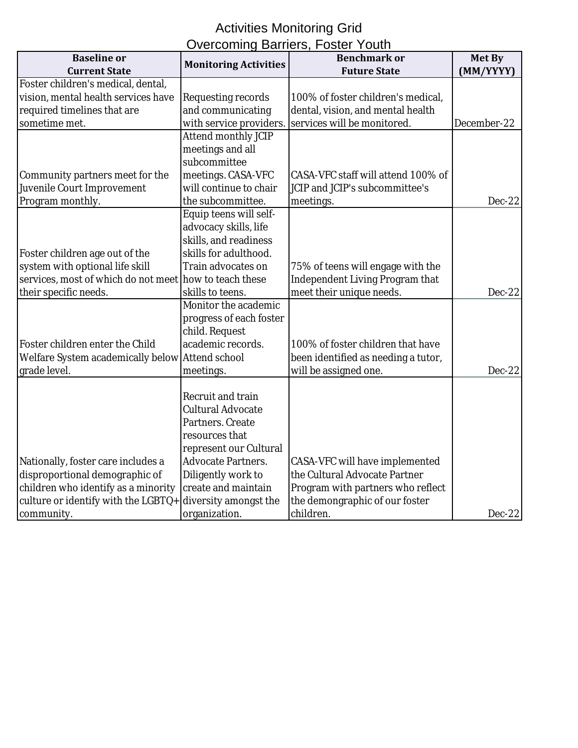#### Activities Monitoring Grid Overcoming Barriers, Foster Youth

| <b>Baseline or</b>                                     | $\sim$ vercommig Darners, I Oster Touth | <b>Benchmark or</b>                    | <b>Met By</b> |
|--------------------------------------------------------|-----------------------------------------|----------------------------------------|---------------|
| <b>Current State</b>                                   | <b>Monitoring Activities</b>            | <b>Future State</b>                    | (MM/YYYY)     |
| Foster children's medical, dental,                     |                                         |                                        |               |
| vision, mental health services have                    | Requesting records                      | 100% of foster children's medical,     |               |
| required timelines that are                            | and communicating                       | dental, vision, and mental health      |               |
| sometime met.                                          |                                         | services will be monitored.            |               |
|                                                        | with service providers.                 |                                        | December-22   |
|                                                        | <b>Attend monthly JCIP</b>              |                                        |               |
|                                                        | meetings and all                        |                                        |               |
|                                                        | subcommittee                            |                                        |               |
| Community partners meet for the                        | meetings. CASA-VFC                      | CASA-VFC staff will attend 100% of     |               |
| Juvenile Court Improvement                             | will continue to chair                  | JCIP and JCIP's subcommittee's         |               |
| Program monthly.                                       | the subcommittee.                       | meetings.                              | $Dec-22$      |
|                                                        | Equip teens will self-                  |                                        |               |
|                                                        | advocacy skills, life                   |                                        |               |
|                                                        | skills, and readiness                   |                                        |               |
| Foster children age out of the                         | skills for adulthood.                   |                                        |               |
| system with optional life skill                        | Train advocates on                      | 75% of teens will engage with the      |               |
| services, most of which do not meet how to teach these |                                         | <b>Independent Living Program that</b> |               |
| their specific needs.                                  | skills to teens.                        | meet their unique needs.               | $Dec-22$      |
|                                                        | Monitor the academic                    |                                        |               |
|                                                        | progress of each foster                 |                                        |               |
|                                                        | child. Request                          |                                        |               |
| Foster children enter the Child                        | academic records.                       | 100% of foster children that have      |               |
| Welfare System academically below Attend school        |                                         | been identified as needing a tutor,    |               |
| grade level.                                           | meetings.                               | will be assigned one.                  | Dec-22        |
|                                                        |                                         |                                        |               |
|                                                        | <b>Recruit and train</b>                |                                        |               |
|                                                        | <b>Cultural Advocate</b>                |                                        |               |
|                                                        | Partners. Create                        |                                        |               |
|                                                        | resources that                          |                                        |               |
|                                                        | represent our Cultural                  |                                        |               |
| Nationally, foster care includes a                     | <b>Advocate Partners.</b>               | <b>CASA-VFC will have implemented</b>  |               |
| disproportional demographic of                         | Diligently work to                      | the Cultural Advocate Partner          |               |
| children who identify as a minority                    | create and maintain                     | Program with partners who reflect      |               |
| culture or identify with the LGBTQ+                    | diversity amongst the                   | the demongraphic of our foster         |               |
| community.                                             | organization.                           | children.                              | $Dec-22$      |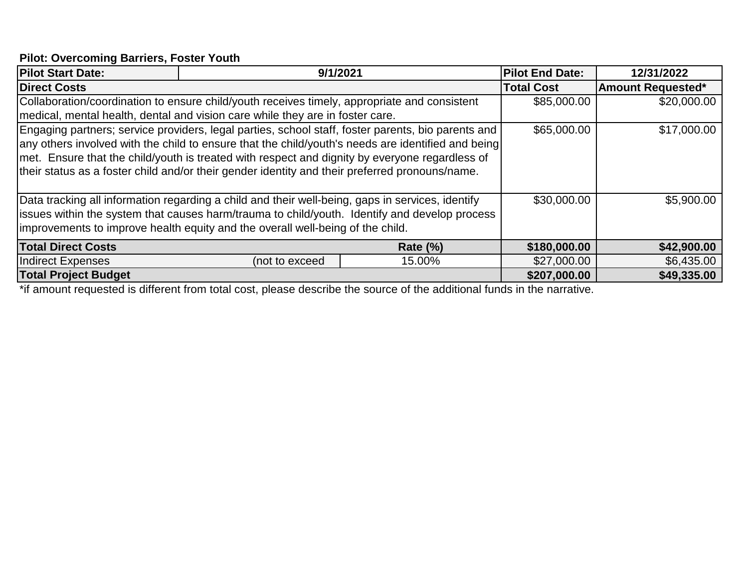## **Pilot: Overcoming Barriers, Foster Youth**

|                                                                                              |                                                                                                                                                                                                                                    | <b>Pilot End Date:</b>                                                                                                                                                                                                                                                                                                                                                                                                                                                                                                                                                                                                                                                                                                  | 12/31/2022                                                                                                                                                                                                   |
|----------------------------------------------------------------------------------------------|------------------------------------------------------------------------------------------------------------------------------------------------------------------------------------------------------------------------------------|-------------------------------------------------------------------------------------------------------------------------------------------------------------------------------------------------------------------------------------------------------------------------------------------------------------------------------------------------------------------------------------------------------------------------------------------------------------------------------------------------------------------------------------------------------------------------------------------------------------------------------------------------------------------------------------------------------------------------|--------------------------------------------------------------------------------------------------------------------------------------------------------------------------------------------------------------|
|                                                                                              |                                                                                                                                                                                                                                    | <b>Total Cost</b>                                                                                                                                                                                                                                                                                                                                                                                                                                                                                                                                                                                                                                                                                                       | <b>Amount Requested*</b>                                                                                                                                                                                     |
| Collaboration/coordination to ensure child/youth receives timely, appropriate and consistent |                                                                                                                                                                                                                                    |                                                                                                                                                                                                                                                                                                                                                                                                                                                                                                                                                                                                                                                                                                                         | \$20,000.00                                                                                                                                                                                                  |
|                                                                                              |                                                                                                                                                                                                                                    |                                                                                                                                                                                                                                                                                                                                                                                                                                                                                                                                                                                                                                                                                                                         |                                                                                                                                                                                                              |
|                                                                                              |                                                                                                                                                                                                                                    | \$65,000.00                                                                                                                                                                                                                                                                                                                                                                                                                                                                                                                                                                                                                                                                                                             | \$17,000.00                                                                                                                                                                                                  |
|                                                                                              |                                                                                                                                                                                                                                    |                                                                                                                                                                                                                                                                                                                                                                                                                                                                                                                                                                                                                                                                                                                         |                                                                                                                                                                                                              |
|                                                                                              |                                                                                                                                                                                                                                    |                                                                                                                                                                                                                                                                                                                                                                                                                                                                                                                                                                                                                                                                                                                         |                                                                                                                                                                                                              |
|                                                                                              |                                                                                                                                                                                                                                    |                                                                                                                                                                                                                                                                                                                                                                                                                                                                                                                                                                                                                                                                                                                         |                                                                                                                                                                                                              |
|                                                                                              |                                                                                                                                                                                                                                    |                                                                                                                                                                                                                                                                                                                                                                                                                                                                                                                                                                                                                                                                                                                         |                                                                                                                                                                                                              |
|                                                                                              |                                                                                                                                                                                                                                    | \$30,000.00                                                                                                                                                                                                                                                                                                                                                                                                                                                                                                                                                                                                                                                                                                             | \$5,900.00                                                                                                                                                                                                   |
|                                                                                              |                                                                                                                                                                                                                                    |                                                                                                                                                                                                                                                                                                                                                                                                                                                                                                                                                                                                                                                                                                                         |                                                                                                                                                                                                              |
|                                                                                              |                                                                                                                                                                                                                                    |                                                                                                                                                                                                                                                                                                                                                                                                                                                                                                                                                                                                                                                                                                                         |                                                                                                                                                                                                              |
|                                                                                              | Rate $(\%)$                                                                                                                                                                                                                        | \$180,000.00                                                                                                                                                                                                                                                                                                                                                                                                                                                                                                                                                                                                                                                                                                            | \$42,900.00                                                                                                                                                                                                  |
| (not to exceed                                                                               | 15.00%                                                                                                                                                                                                                             | \$27,000.00                                                                                                                                                                                                                                                                                                                                                                                                                                                                                                                                                                                                                                                                                                             | \$6,435.00                                                                                                                                                                                                   |
|                                                                                              |                                                                                                                                                                                                                                    | \$207,000.00                                                                                                                                                                                                                                                                                                                                                                                                                                                                                                                                                                                                                                                                                                            | \$49,335.00                                                                                                                                                                                                  |
|                                                                                              | $\mathcal{L}$ , and the contract of the contract of the contract of the contract of the contract of the contract of the contract of the contract of the contract of the contract of the contract of the contract of the contract o | 9/1/2021<br>medical, mental health, dental and vision care while they are in foster care.<br>Engaging partners; service providers, legal parties, school staff, foster parents, bio parents and<br>met. Ensure that the child/youth is treated with respect and dignity by everyone regardless of<br>their status as a foster child and/or their gender identity and their preferred pronouns/name.<br>Data tracking all information regarding a child and their well-being, gaps in services, identify<br>issues within the system that causes harm/trauma to child/youth. Identify and develop process<br>improvements to improve health equity and the overall well-being of the child.<br>$\epsilon$ and $\epsilon$ | \$85,000.00<br>any others involved with the child to ensure that the child/youth's needs are identified and being<br>$\mathbf{r}$ , $\mathbf{r}$ , $\mathbf{r}$ , $\mathbf{r}$ , $\mathbf{r}$ , $\mathbf{r}$ |

\*if amount requested is different from total cost, please describe the source of the additional funds in the narrative.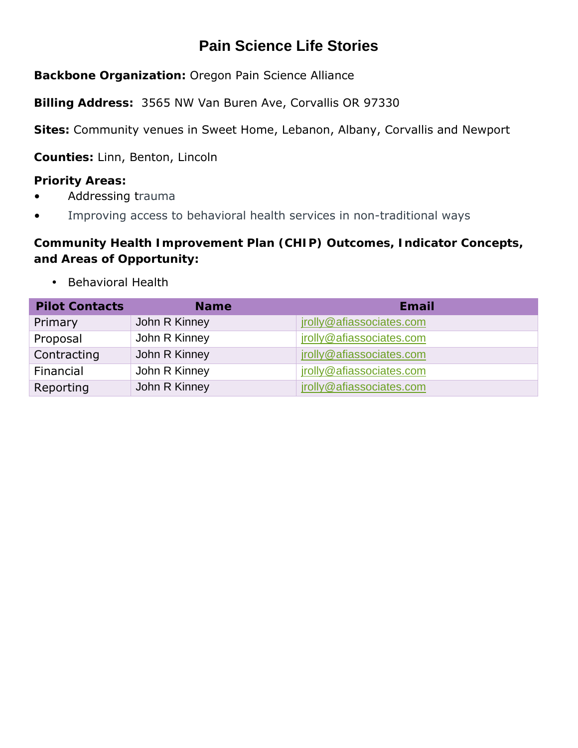## **Pain Science Life Stories**

**Backbone Organization:** Oregon Pain Science Alliance

**Billing Address:** 3565 NW Van Buren Ave, Corvallis OR 97330

**Sites:** Community venues in Sweet Home, Lebanon, Albany, Corvallis and Newport

**Counties:** Linn, Benton, Lincoln

**Priority Areas:**

- Addressing trauma
- Improving access to behavioral health services in non-traditional ways

**Community Health Improvement Plan (CHIP) Outcomes, Indicator Concepts, and Areas of Opportunity:** 

Behavioral Health

| <b>Pilot Contacts</b> | <b>Name</b>   | Email                    |
|-----------------------|---------------|--------------------------|
| Primary               | John R Kinney | jrolly@afiassociates.com |
| Proposal              | John R Kinney | jrolly@afiassociates.com |
| Contracting           | John R Kinney | jrolly@afiassociates.com |
| Financial             | John R Kinney | jrolly@afiassociates.com |
| Reporting             | John R Kinney | jrolly@afiassociates.com |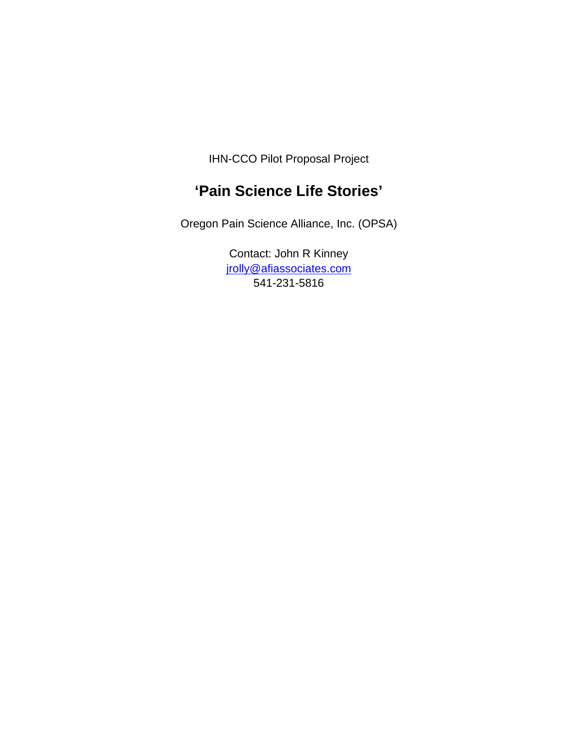IHN-CCO Pilot Proposal Project

## **'Pain Science Life Stories'**

Oregon Pain Science Alliance, Inc. (OPSA)

Contact: John R Kinney jrolly@afiassociates.com 541-231-5816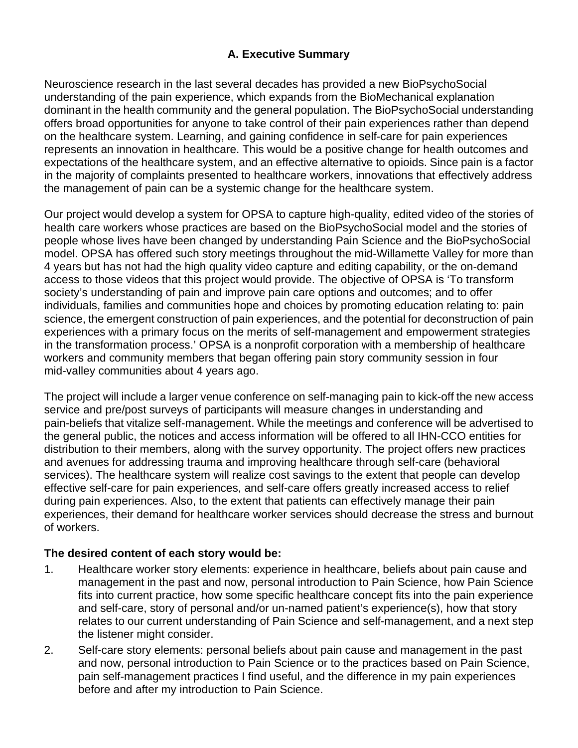#### **A. Executive Summary**

Neuroscience research in the last several decades has provided a new BioPsychoSocial understanding of the pain experience, which expands from the BioMechanical explanation dominant in the health community and the general population. The BioPsychoSocial understanding offers broad opportunities for anyone to take control of their pain experiences rather than depend on the healthcare system. Learning, and gaining confidence in self-care for pain experiences represents an innovation in healthcare. This would be a positive change for health outcomes and expectations of the healthcare system, and an effective alternative to opioids. Since pain is a factor in the majority of complaints presented to healthcare workers, innovations that effectively address the management of pain can be a systemic change for the healthcare system.

Our project would develop a system for OPSA to capture high-quality, edited video of the stories of health care workers whose practices are based on the BioPsychoSocial model and the stories of people whose lives have been changed by understanding Pain Science and the BioPsychoSocial model. OPSA has offered such story meetings throughout the mid-Willamette Valley for more than 4 years but has not had the high quality video capture and editing capability, or the on-demand access to those videos that this project would provide. The objective of OPSA is 'To transform society's understanding of pain and improve pain care options and outcomes; and to offer individuals, families and communities hope and choices by promoting education relating to: pain science, the emergent construction of pain experiences, and the potential for deconstruction of pain experiences with a primary focus on the merits of self-management and empowerment strategies in the transformation process.' OPSA is a nonprofit corporation with a membership of healthcare workers and community members that began offering pain story community session in four mid-valley communities about 4 years ago.

The project will include a larger venue conference on self-managing pain to kick-off the new access service and pre/post surveys of participants will measure changes in understanding and pain-beliefs that vitalize self-management. While the meetings and conference will be advertised to the general public, the notices and access information will be offered to all IHN-CCO entities for distribution to their members, along with the survey opportunity. The project offers new practices and avenues for addressing trauma and improving healthcare through self-care (behavioral services). The healthcare system will realize cost savings to the extent that people can develop effective self-care for pain experiences, and self-care offers greatly increased access to relief during pain experiences. Also, to the extent that patients can effectively manage their pain experiences, their demand for healthcare worker services should decrease the stress and burnout of workers.

#### **The desired content of each story would be:**

- 1. Healthcare worker story elements: experience in healthcare, beliefs about pain cause and management in the past and now, personal introduction to Pain Science, how Pain Science fits into current practice, how some specific healthcare concept fits into the pain experience and self-care, story of personal and/or un-named patient's experience(s), how that story relates to our current understanding of Pain Science and self-management, and a next step the listener might consider.
- 2. Self-care story elements: personal beliefs about pain cause and management in the past and now, personal introduction to Pain Science or to the practices based on Pain Science, pain self-management practices I find useful, and the difference in my pain experiences before and after my introduction to Pain Science.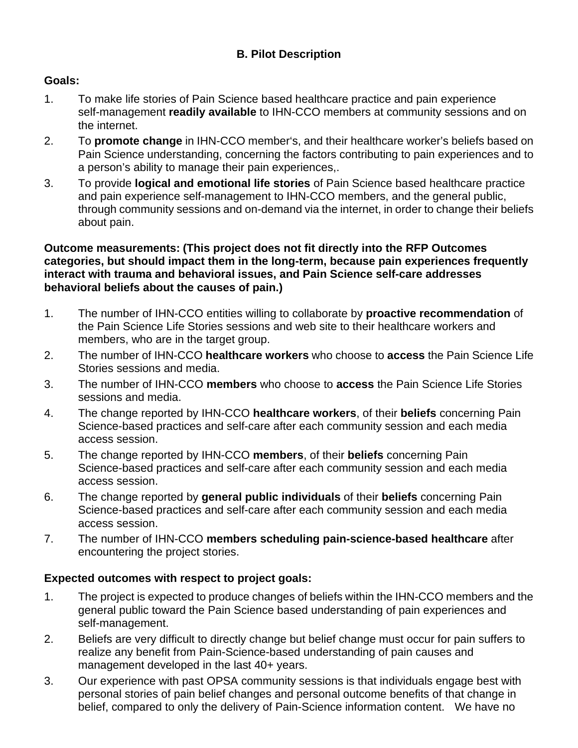#### **B. Pilot Description**

#### **Goals:**

- 1. To make life stories of Pain Science based healthcare practice and pain experience self-management **readily available** to IHN-CCO members at community sessions and on the internet.
- 2. To **promote change** in IHN-CCO member's, and their healthcare worker's beliefs based on Pain Science understanding, concerning the factors contributing to pain experiences and to a person's ability to manage their pain experiences,.
- 3. To provide **logical and emotional life stories** of Pain Science based healthcare practice and pain experience self-management to IHN-CCO members, and the general public, through community sessions and on-demand via the internet, in order to change their beliefs about pain.

#### **Outcome measurements: (This project does not fit directly into the RFP Outcomes categories, but should impact them in the long-term, because pain experiences frequently interact with trauma and behavioral issues, and Pain Science self-care addresses behavioral beliefs about the causes of pain.)**

- 1. The number of IHN-CCO entities willing to collaborate by **proactive recommendation** of the Pain Science Life Stories sessions and web site to their healthcare workers and members, who are in the target group.
- 2. The number of IHN-CCO **healthcare workers** who choose to **access** the Pain Science Life Stories sessions and media.
- 3. The number of IHN-CCO **members** who choose to **access** the Pain Science Life Stories sessions and media.
- 4. The change reported by IHN-CCO **healthcare workers**, of their **beliefs** concerning Pain Science-based practices and self-care after each community session and each media access session.
- 5. The change reported by IHN-CCO **members**, of their **beliefs** concerning Pain Science-based practices and self-care after each community session and each media access session.
- 6. The change reported by **general public individuals** of their **beliefs** concerning Pain Science-based practices and self-care after each community session and each media access session.
- 7. The number of IHN-CCO **members scheduling pain-science-based healthcare** after encountering the project stories.

#### **Expected outcomes with respect to project goals:**

- 1. The project is expected to produce changes of beliefs within the IHN-CCO members and the general public toward the Pain Science based understanding of pain experiences and self-management.
- 2. Beliefs are very difficult to directly change but belief change must occur for pain suffers to realize any benefit from Pain-Science-based understanding of pain causes and management developed in the last 40+ years.
- 3. Our experience with past OPSA community sessions is that individuals engage best with personal stories of pain belief changes and personal outcome benefits of that change in belief, compared to only the delivery of Pain-Science information content. We have no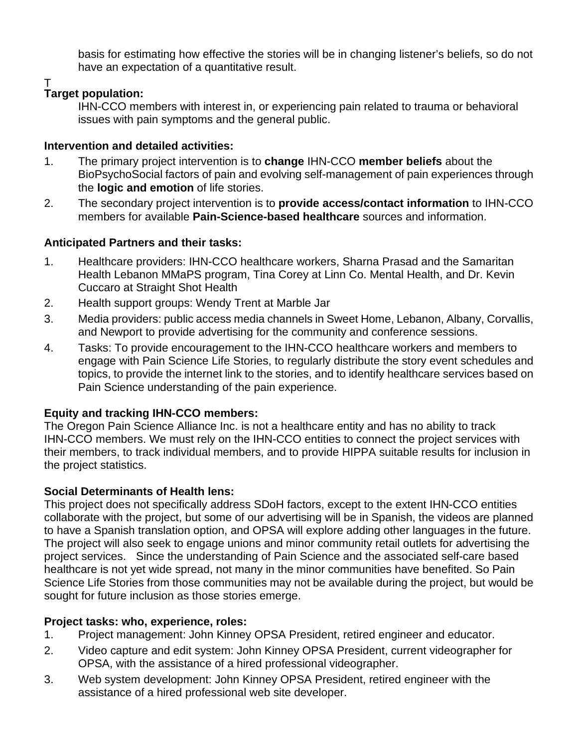basis for estimating how effective the stories will be in changing listener's beliefs, so do not have an expectation of a quantitative result.

T

#### **Target population:**

IHN-CCO members with interest in, or experiencing pain related to trauma or behavioral issues with pain symptoms and the general public.

#### **Intervention and detailed activities:**

- 1. The primary project intervention is to **change** IHN-CCO **member beliefs** about the BioPsychoSocial factors of pain and evolving self-management of pain experiences through the **logic and emotion** of life stories.
- 2. The secondary project intervention is to **provide access/contact information** to IHN-CCO members for available **Pain-Science-based healthcare** sources and information.

#### **Anticipated Partners and their tasks:**

- 1. Healthcare providers: IHN-CCO healthcare workers, Sharna Prasad and the Samaritan Health Lebanon MMaPS program, Tina Corey at Linn Co. Mental Health, and Dr. Kevin Cuccaro at Straight Shot Health
- 2. Health support groups: Wendy Trent at Marble Jar
- 3. Media providers: public access media channels in Sweet Home, Lebanon, Albany, Corvallis, and Newport to provide advertising for the community and conference sessions.
- 4. Tasks: To provide encouragement to the IHN-CCO healthcare workers and members to engage with Pain Science Life Stories, to regularly distribute the story event schedules and topics, to provide the internet link to the stories, and to identify healthcare services based on Pain Science understanding of the pain experience.

#### **Equity and tracking IHN-CCO members:**

The Oregon Pain Science Alliance Inc. is not a healthcare entity and has no ability to track IHN-CCO members. We must rely on the IHN-CCO entities to connect the project services with their members, to track individual members, and to provide HIPPA suitable results for inclusion in the project statistics.

#### **Social Determinants of Health lens:**

This project does not specifically address SDoH factors, except to the extent IHN-CCO entities collaborate with the project, but some of our advertising will be in Spanish, the videos are planned to have a Spanish translation option, and OPSA will explore adding other languages in the future. The project will also seek to engage unions and minor community retail outlets for advertising the project services. Since the understanding of Pain Science and the associated self-care based healthcare is not yet wide spread, not many in the minor communities have benefited. So Pain Science Life Stories from those communities may not be available during the project, but would be sought for future inclusion as those stories emerge.

#### **Project tasks: who, experience, roles:**

- 1. Project management: John Kinney OPSA President, retired engineer and educator.
- 2. Video capture and edit system: John Kinney OPSA President, current videographer for OPSA, with the assistance of a hired professional videographer.
- 3. Web system development: John Kinney OPSA President, retired engineer with the assistance of a hired professional web site developer.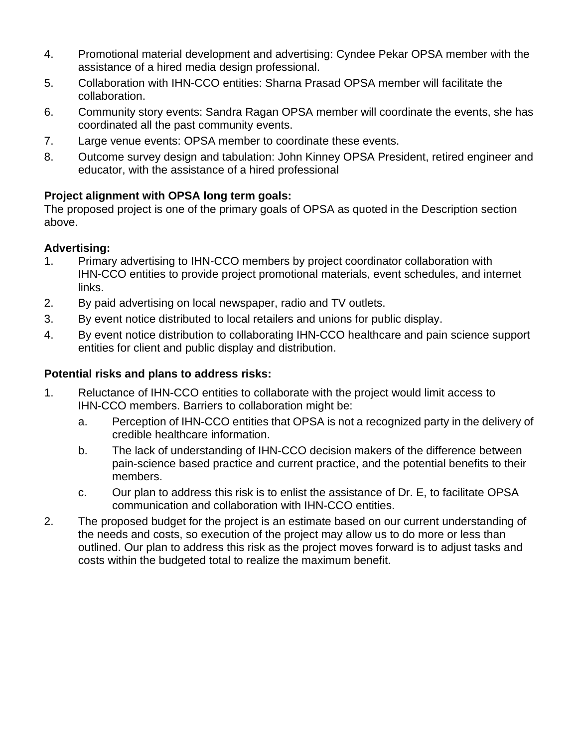- 4. Promotional material development and advertising: Cyndee Pekar OPSA member with the assistance of a hired media design professional.
- 5. Collaboration with IHN-CCO entities: Sharna Prasad OPSA member will facilitate the collaboration.
- 6. Community story events: Sandra Ragan OPSA member will coordinate the events, she has coordinated all the past community events.
- 7. Large venue events: OPSA member to coordinate these events.
- 8. Outcome survey design and tabulation: John Kinney OPSA President, retired engineer and educator, with the assistance of a hired professional

#### **Project alignment with OPSA long term goals:**

The proposed project is one of the primary goals of OPSA as quoted in the Description section above.

#### **Advertising:**

- 1. Primary advertising to IHN-CCO members by project coordinator collaboration with IHN-CCO entities to provide project promotional materials, event schedules, and internet links.
- 2. By paid advertising on local newspaper, radio and TV outlets.
- 3. By event notice distributed to local retailers and unions for public display.
- 4. By event notice distribution to collaborating IHN-CCO healthcare and pain science support entities for client and public display and distribution.

#### **Potential risks and plans to address risks:**

- 1. Reluctance of IHN-CCO entities to collaborate with the project would limit access to IHN-CCO members. Barriers to collaboration might be:
	- a. Perception of IHN-CCO entities that OPSA is not a recognized party in the delivery of credible healthcare information.
	- b. The lack of understanding of IHN-CCO decision makers of the difference between pain-science based practice and current practice, and the potential benefits to their members.
	- c. Our plan to address this risk is to enlist the assistance of Dr. E, to facilitate OPSA communication and collaboration with IHN-CCO entities.
- 2. The proposed budget for the project is an estimate based on our current understanding of the needs and costs, so execution of the project may allow us to do more or less than outlined. Our plan to address this risk as the project moves forward is to adjust tasks and costs within the budgeted total to realize the maximum benefit.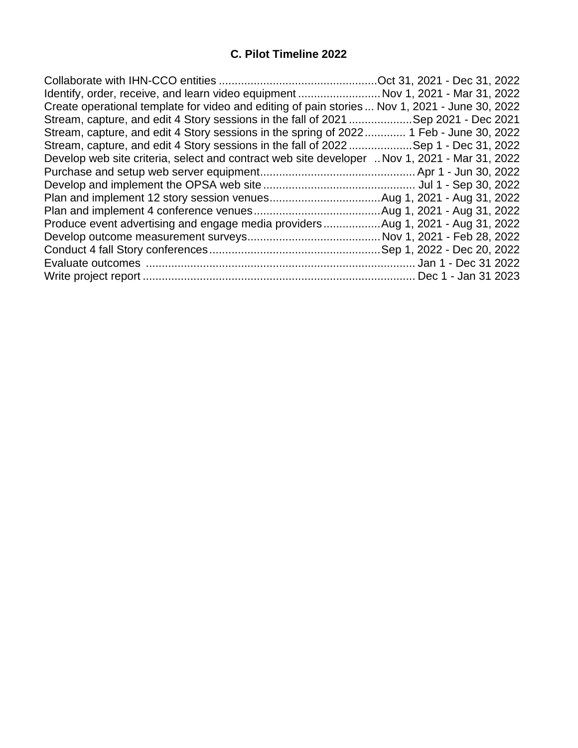#### **C. Pilot Timeline 2022**

| Identify, order, receive, and learn video equipment  Nov 1, 2021 - Mar 31, 2022                |  |
|------------------------------------------------------------------------------------------------|--|
| Create operational template for video and editing of pain stories  Nov 1, 2021 - June 30, 2022 |  |
| Stream, capture, and edit 4 Story sessions in the fall of 2021 Sep 2021 - Dec 2021             |  |
| Stream, capture, and edit 4 Story sessions in the spring of 2022 1 Feb - June 30, 2022         |  |
| Stream, capture, and edit 4 Story sessions in the fall of 2022Sep 1 - Dec 31, 2022             |  |
| Develop web site criteria, select and contract web site developer  Nov 1, 2021 - Mar 31, 2022  |  |
|                                                                                                |  |
|                                                                                                |  |
|                                                                                                |  |
|                                                                                                |  |
| Produce event advertising and engage media providersAug 1, 2021 - Aug 31, 2022                 |  |
|                                                                                                |  |
|                                                                                                |  |
|                                                                                                |  |
|                                                                                                |  |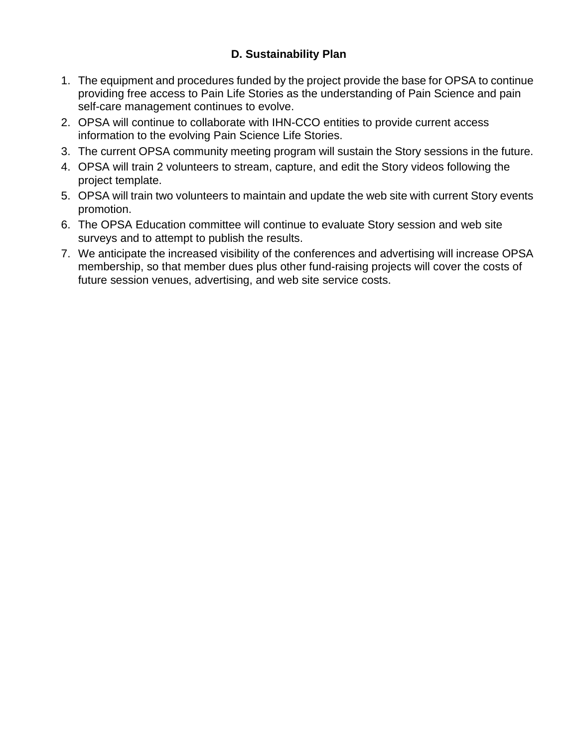#### **D. Sustainability Plan**

- 1. The equipment and procedures funded by the project provide the base for OPSA to continue providing free access to Pain Life Stories as the understanding of Pain Science and pain self-care management continues to evolve.
- 2. OPSA will continue to collaborate with IHN-CCO entities to provide current access information to the evolving Pain Science Life Stories.
- 3. The current OPSA community meeting program will sustain the Story sessions in the future.
- 4. OPSA will train 2 volunteers to stream, capture, and edit the Story videos following the project template.
- 5. OPSA will train two volunteers to maintain and update the web site with current Story events promotion.
- 6. The OPSA Education committee will continue to evaluate Story session and web site surveys and to attempt to publish the results.
- 7. We anticipate the increased visibility of the conferences and advertising will increase OPSA membership, so that member dues plus other fund-raising projects will cover the costs of future session venues, advertising, and web site service costs.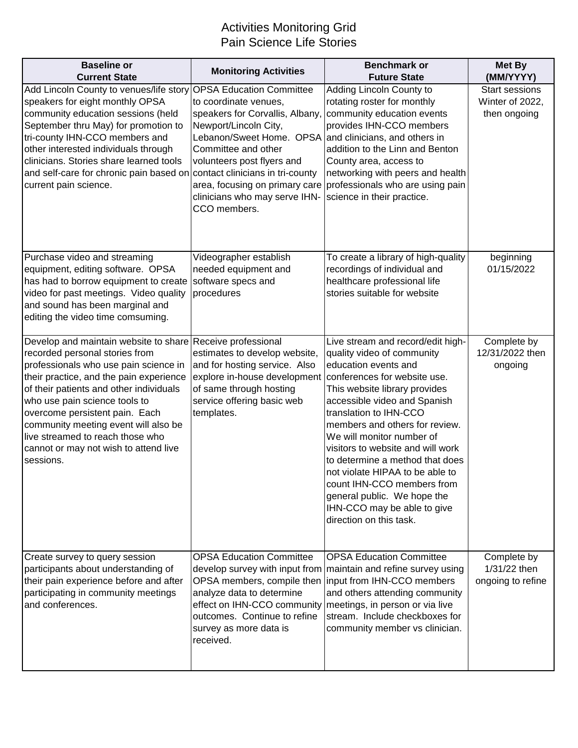## Activities Monitoring Grid Pain Science Life Stories

| <b>Baseline or</b><br><b>Current State</b>                                                                                                                                                                                                                                                                                                                                                                                       | <b>Monitoring Activities</b>                                                                                                                                                                                                                                                        | <b>Benchmark or</b><br><b>Future State</b>                                                                                                                                                                                                                                                                                                                                                                                                                                                                          | <b>Met By</b><br>(MM/YYYY)                               |
|----------------------------------------------------------------------------------------------------------------------------------------------------------------------------------------------------------------------------------------------------------------------------------------------------------------------------------------------------------------------------------------------------------------------------------|-------------------------------------------------------------------------------------------------------------------------------------------------------------------------------------------------------------------------------------------------------------------------------------|---------------------------------------------------------------------------------------------------------------------------------------------------------------------------------------------------------------------------------------------------------------------------------------------------------------------------------------------------------------------------------------------------------------------------------------------------------------------------------------------------------------------|----------------------------------------------------------|
| Add Lincoln County to venues/life story OPSA Education Committee<br>speakers for eight monthly OPSA<br>community education sessions (held<br>September thru May) for promotion to<br>tri-county IHN-CCO members and<br>other interested individuals through<br>clinicians. Stories share learned tools<br>and self-care for chronic pain based on contact clinicians in tri-county<br>current pain science.                      | to coordinate venues,<br>speakers for Corvallis, Albany,<br>Newport/Lincoln City,<br>Lebanon/Sweet Home. OPSA and clinicians, and others in<br>Committee and other<br>volunteers post flyers and<br>area, focusing on primary care<br>clinicians who may serve IHN-<br>CCO members. | Adding Lincoln County to<br>rotating roster for monthly<br>community education events<br>provides IHN-CCO members<br>addition to the Linn and Benton<br>County area, access to<br>networking with peers and health<br>professionals who are using pain<br>science in their practice.                                                                                                                                                                                                                                | <b>Start sessions</b><br>Winter of 2022,<br>then ongoing |
| Purchase video and streaming<br>equipment, editing software. OPSA<br>has had to borrow equipment to create<br>video for past meetings. Video quality<br>and sound has been marginal and<br>editing the video time comsuming.                                                                                                                                                                                                     | Videographer establish<br>needed equipment and<br>software specs and<br>procedures                                                                                                                                                                                                  | To create a library of high-quality<br>recordings of individual and<br>healthcare professional life<br>stories suitable for website                                                                                                                                                                                                                                                                                                                                                                                 | beginning<br>01/15/2022                                  |
| Develop and maintain website to share Receive professional<br>recorded personal stories from<br>professionals who use pain science in<br>their practice, and the pain experience<br>of their patients and other individuals<br>who use pain science tools to<br>overcome persistent pain. Each<br>community meeting event will also be<br>live streamed to reach those who<br>cannot or may not wish to attend live<br>sessions. | estimates to develop website,<br>and for hosting service. Also<br>explore in-house development<br>of same through hosting<br>service offering basic web<br>templates.                                                                                                               | Live stream and record/edit high-<br>quality video of community<br>education events and<br>conferences for website use.<br>This website library provides<br>accessible video and Spanish<br>translation to IHN-CCO<br>members and others for review.<br>We will monitor number of<br>visitors to website and will work<br>to determine a method that does<br>not violate HIPAA to be able to<br>count IHN-CCO members from<br>general public. We hope the<br>IHN-CCO may be able to give<br>direction on this task. | Complete by<br>12/31/2022 then<br>ongoing                |
| Create survey to query session<br>participants about understanding of<br>their pain experience before and after<br>participating in community meetings<br>and conferences.                                                                                                                                                                                                                                                       | <b>OPSA Education Committee</b><br>develop survey with input from<br>OPSA members, compile then<br>analyze data to determine<br>effect on IHN-CCO community<br>outcomes. Continue to refine<br>survey as more data is<br>received.                                                  | <b>OPSA Education Committee</b><br>maintain and refine survey using<br>input from IHN-CCO members<br>and others attending community<br>meetings, in person or via live<br>stream. Include checkboxes for<br>community member vs clinician.                                                                                                                                                                                                                                                                          | Complete by<br>1/31/22 then<br>ongoing to refine         |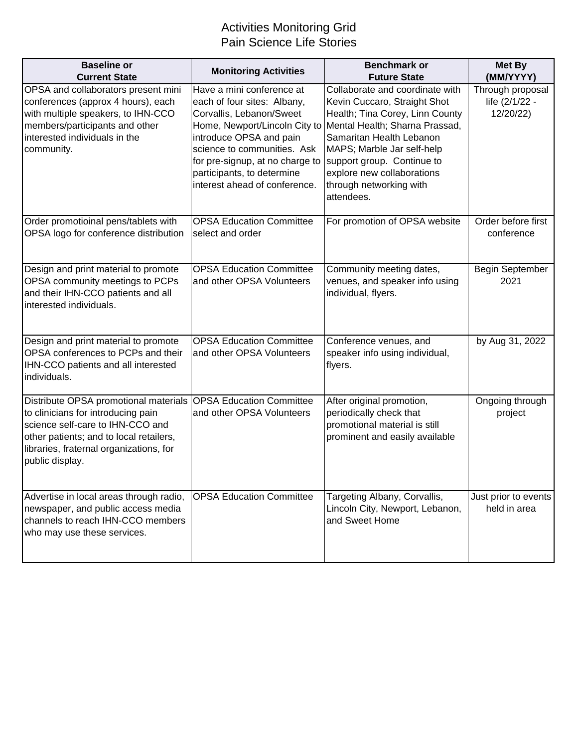## Activities Monitoring Grid Pain Science Life Stories

| <b>Baseline or</b><br><b>Current State</b>                                                                                                                                                                                                        | <b>Monitoring Activities</b>                                                                                                                                                                                                                                                      | <b>Benchmark or</b><br><b>Future State</b>                                                                                                                                                                                                                                                          | <b>Met By</b><br>(MM/YYYY)                      |
|---------------------------------------------------------------------------------------------------------------------------------------------------------------------------------------------------------------------------------------------------|-----------------------------------------------------------------------------------------------------------------------------------------------------------------------------------------------------------------------------------------------------------------------------------|-----------------------------------------------------------------------------------------------------------------------------------------------------------------------------------------------------------------------------------------------------------------------------------------------------|-------------------------------------------------|
| OPSA and collaborators present mini<br>conferences (approx 4 hours), each<br>with multiple speakers, to IHN-CCO<br>members/participants and other<br>interested individuals in the<br>community.                                                  | Have a mini conference at<br>each of four sites: Albany,<br>Corvallis, Lebanon/Sweet<br>Home, Newport/Lincoln City to<br>introduce OPSA and pain<br>science to communities. Ask<br>for pre-signup, at no charge to<br>participants, to determine<br>interest ahead of conference. | Collaborate and coordinate with<br>Kevin Cuccaro, Straight Shot<br>Health; Tina Corey, Linn County<br>Mental Health; Sharna Prassad,<br>Samaritan Health Lebanon<br>MAPS; Marble Jar self-help<br>support group. Continue to<br>explore new collaborations<br>through networking with<br>attendees. | Through proposal<br>life (2/1/22 -<br>12/20/22) |
| Order promotioinal pens/tablets with<br>OPSA logo for conference distribution                                                                                                                                                                     | <b>OPSA Education Committee</b><br>select and order                                                                                                                                                                                                                               | For promotion of OPSA website                                                                                                                                                                                                                                                                       | Order before first<br>conference                |
| Design and print material to promote<br>OPSA community meetings to PCPs<br>and their IHN-CCO patients and all<br>interested individuals.                                                                                                          | <b>OPSA Education Committee</b><br>and other OPSA Volunteers                                                                                                                                                                                                                      | Community meeting dates,<br>venues, and speaker info using<br>individual, flyers.                                                                                                                                                                                                                   | <b>Begin September</b><br>2021                  |
| Design and print material to promote<br>OPSA conferences to PCPs and their<br>IHN-CCO patients and all interested<br>individuals.                                                                                                                 | <b>OPSA Education Committee</b><br>and other OPSA Volunteers                                                                                                                                                                                                                      | Conference venues, and<br>speaker info using individual,<br>flyers.                                                                                                                                                                                                                                 | by Aug 31, 2022                                 |
| Distribute OPSA promotional materials OPSA Education Committee<br>to clinicians for introducing pain<br>science self-care to IHN-CCO and<br>other patients; and to local retailers,<br>libraries, fraternal organizations, for<br>public display. | and other OPSA Volunteers                                                                                                                                                                                                                                                         | After original promotion,<br>periodically check that<br>promotional material is still<br>prominent and easily available                                                                                                                                                                             | Ongoing through<br>project                      |
| Advertise in local areas through radio,<br>newspaper, and public access media<br>channels to reach IHN-CCO members<br>who may use these services.                                                                                                 | <b>OPSA Education Committee</b>                                                                                                                                                                                                                                                   | Targeting Albany, Corvallis,<br>Lincoln City, Newport, Lebanon,<br>and Sweet Home                                                                                                                                                                                                                   | Just prior to events<br>held in area            |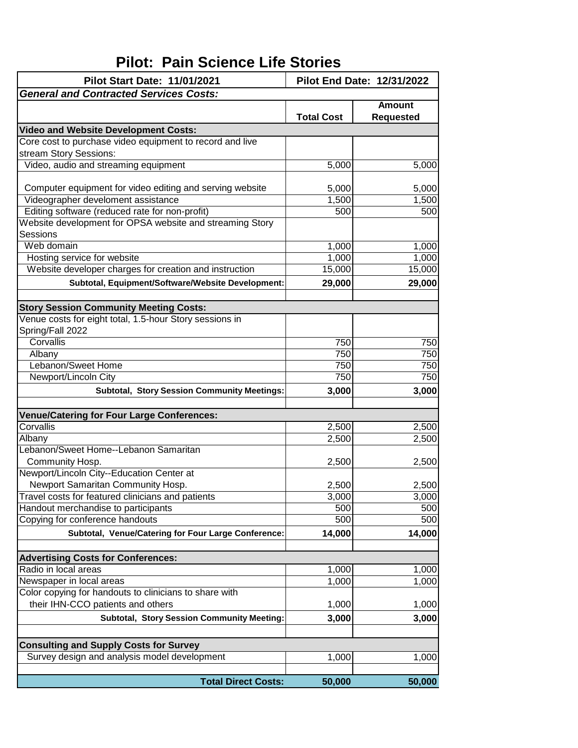# **Pilot: Pain Science Life Stories**

| Pilot End Date: 12/31/2022<br><b>Pilot Start Date: 11/01/2021</b> |                   |                                   |
|-------------------------------------------------------------------|-------------------|-----------------------------------|
| <b>General and Contracted Services Costs:</b>                     |                   |                                   |
|                                                                   | <b>Total Cost</b> | <b>Amount</b><br><b>Requested</b> |
| <b>Video and Website Development Costs:</b>                       |                   |                                   |
| Core cost to purchase video equipment to record and live          |                   |                                   |
| stream Story Sessions:                                            |                   |                                   |
| Video, audio and streaming equipment                              | 5,000             | 5,000                             |
|                                                                   |                   |                                   |
| Computer equipment for video editing and serving website          | 5,000             | 5,000                             |
| Videographer develoment assistance                                | 1,500             | 1,500                             |
| Editing software (reduced rate for non-profit)                    | 500               | 500                               |
| Website development for OPSA website and streaming Story          |                   |                                   |
| Sessions                                                          |                   |                                   |
| Web domain                                                        | 1,000             | 1,000                             |
| Hosting service for website                                       | 1,000             | 1,000                             |
| Website developer charges for creation and instruction            | 15,000            | 15,000                            |
| Subtotal, Equipment/Software/Website Development:                 | 29,000            | 29,000                            |
|                                                                   |                   |                                   |
| <b>Story Session Community Meeting Costs:</b>                     |                   |                                   |
| Venue costs for eight total, 1.5-hour Story sessions in           |                   |                                   |
| Spring/Fall 2022                                                  |                   |                                   |
| Corvallis                                                         | 750               | 750                               |
| Albany                                                            | 750               | 750                               |
| Lebanon/Sweet Home                                                | 750               | 750                               |
| Newport/Lincoln City                                              | 750               | 750                               |
|                                                                   |                   |                                   |
| <b>Subtotal, Story Session Community Meetings:</b>                | 3,000             | 3,000                             |
| <b>Venue/Catering for Four Large Conferences:</b>                 |                   |                                   |
| Corvallis                                                         | 2,500             | 2,500                             |
| Albany                                                            | 2,500             | 2,500                             |
| Lebanon/Sweet Home--Lebanon Samaritan                             |                   |                                   |
| Community Hosp.                                                   | 2,500             | 2,500                             |
| Newport/Lincoln City--Education Center at                         |                   |                                   |
| Newport Samaritan Community Hosp.                                 | 2,500             | 2,500                             |
| Travel costs for featured clinicians and patients                 | 3,000             | 3,000                             |
| Handout merchandise to participants                               | 500               | 500                               |
| Copying for conference handouts                                   | 500               | 500                               |
| Subtotal, Venue/Catering for Four Large Conference:               | 14,000            | 14,000                            |
|                                                                   |                   |                                   |
| <b>Advertising Costs for Conferences:</b>                         |                   |                                   |
| Radio in local areas                                              | 1,000             | 1,000                             |
| Newspaper in local areas                                          | 1,000             | 1,000                             |
| Color copying for handouts to clinicians to share with            |                   |                                   |
| their IHN-CCO patients and others                                 | 1,000             | 1,000                             |
| <b>Subtotal, Story Session Community Meeting:</b>                 | 3,000             | 3,000                             |
|                                                                   |                   |                                   |
| <b>Consulting and Supply Costs for Survey</b>                     |                   |                                   |
| Survey design and analysis model development                      | 1,000             | 1,000                             |
| <b>Total Direct Costs:</b>                                        | 50,000            | 50,000                            |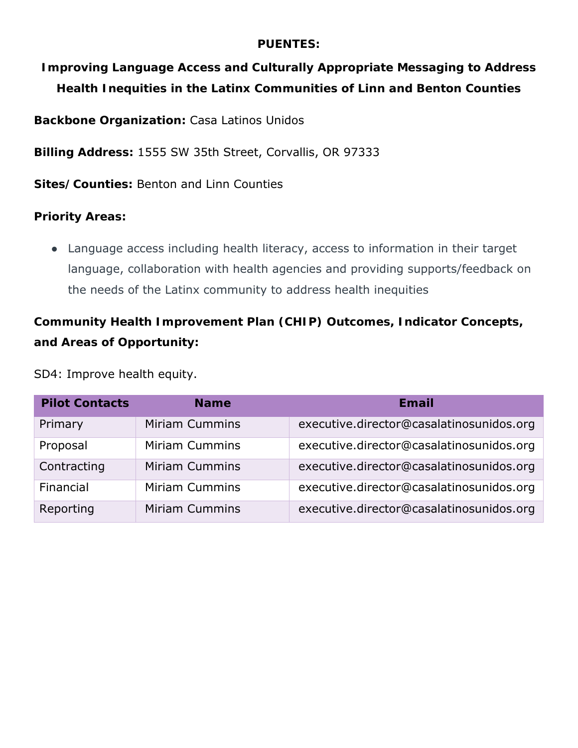#### **PUENTES:**

**Improving Language Access and Culturally Appropriate Messaging to Address Health Inequities in the Latinx Communities of Linn and Benton Counties** 

**Backbone Organization:** Casa Latinos Unidos

**Billing Address:** 1555 SW 35th Street, Corvallis, OR 97333

**Sites/Counties:** Benton and Linn Counties

**Priority Areas:** 

● Language access including health literacy, access to information in their target language, collaboration with health agencies and providing supports/feedback on the needs of the Latinx community to address health inequities

**Community Health Improvement Plan (CHIP) Outcomes, Indicator Concepts, and Areas of Opportunity:**

#### SD4: Improve health equity.

| <b>Pilot Contacts</b> | <b>Name</b>           | Email                                    |
|-----------------------|-----------------------|------------------------------------------|
| Primary               | <b>Miriam Cummins</b> | executive.director@casalatinosunidos.org |
| Proposal              | <b>Miriam Cummins</b> | executive.director@casalatinosunidos.org |
| Contracting           | <b>Miriam Cummins</b> | executive.director@casalatinosunidos.org |
| Financial             | <b>Miriam Cummins</b> | executive.director@casalatinosunidos.org |
| Reporting             | <b>Miriam Cummins</b> | executive.director@casalatinosunidos.org |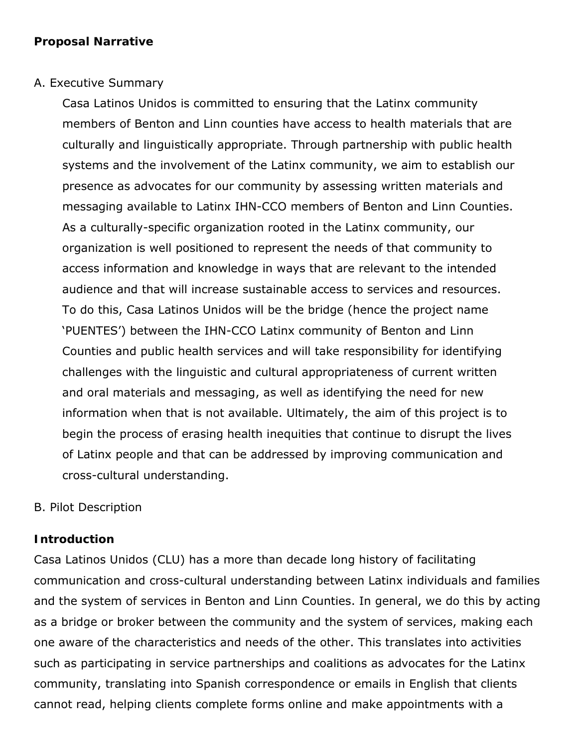#### A. Executive Summary

Casa Latinos Unidos is committed to ensuring that the Latinx community members of Benton and Linn counties have access to health materials that are culturally and linguistically appropriate. Through partnership with public health systems and the involvement of the Latinx community, we aim to establish our presence as advocates for our community by assessing written materials and messaging available to Latinx IHN-CCO members of Benton and Linn Counties. As a culturally-specific organization rooted in the Latinx community, our organization is well positioned to represent the needs of that community to access information and knowledge in ways that are relevant to the intended audience and that will increase sustainable access to services and resources. To do this, Casa Latinos Unidos will be the bridge (hence the project name 'PUENTES') between the IHN-CCO Latinx community of Benton and Linn Counties and public health services and will take responsibility for identifying challenges with the linguistic and cultural appropriateness of current written and oral materials and messaging, as well as identifying the need for new information when that is not available. Ultimately, the aim of this project is to begin the process of erasing health inequities that continue to disrupt the lives of Latinx people and that can be addressed by improving communication and cross-cultural understanding.

#### B. Pilot Description

#### **Introduction**

Casa Latinos Unidos (CLU) has a more than decade long history of facilitating communication and cross-cultural understanding between Latinx individuals and families and the system of services in Benton and Linn Counties. In general, we do this by acting as a bridge or broker between the community and the system of services, making each one aware of the characteristics and needs of the other. This translates into activities such as participating in service partnerships and coalitions as advocates for the Latinx community, translating into Spanish correspondence or emails in English that clients cannot read, helping clients complete forms online and make appointments with a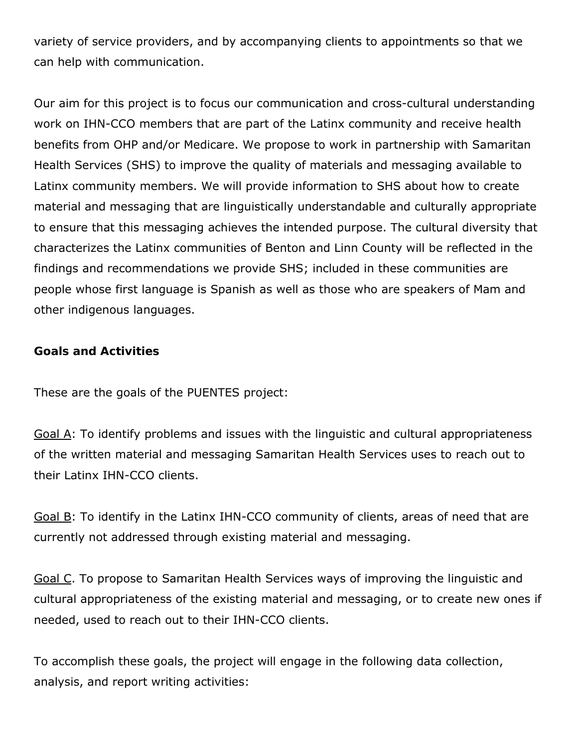variety of service providers, and by accompanying clients to appointments so that we can help with communication.

Our aim for this project is to focus our communication and cross-cultural understanding work on IHN-CCO members that are part of the Latinx community and receive health benefits from OHP and/or Medicare. We propose to work in partnership with Samaritan Health Services (SHS) to improve the quality of materials and messaging available to Latinx community members. We will provide information to SHS about how to create material and messaging that are linguistically understandable and culturally appropriate to ensure that this messaging achieves the intended purpose. The cultural diversity that characterizes the Latinx communities of Benton and Linn County will be reflected in the findings and recommendations we provide SHS; included in these communities are people whose first language is Spanish as well as those who are speakers of Mam and other indigenous languages.

**Goals and Activities**

These are the goals of the PUENTES project:

Goal A: To identify problems and issues with the linguistic and cultural appropriateness of the written material and messaging Samaritan Health Services uses to reach out to their Latinx IHN-CCO clients.

Goal B: To identify in the Latinx IHN-CCO community of clients, areas of need that are currently not addressed through existing material and messaging.

Goal C. To propose to Samaritan Health Services ways of improving the linguistic and cultural appropriateness of the existing material and messaging, or to create new ones if needed, used to reach out to their IHN-CCO clients.

To accomplish these goals, the project will engage in the following data collection, analysis, and report writing activities: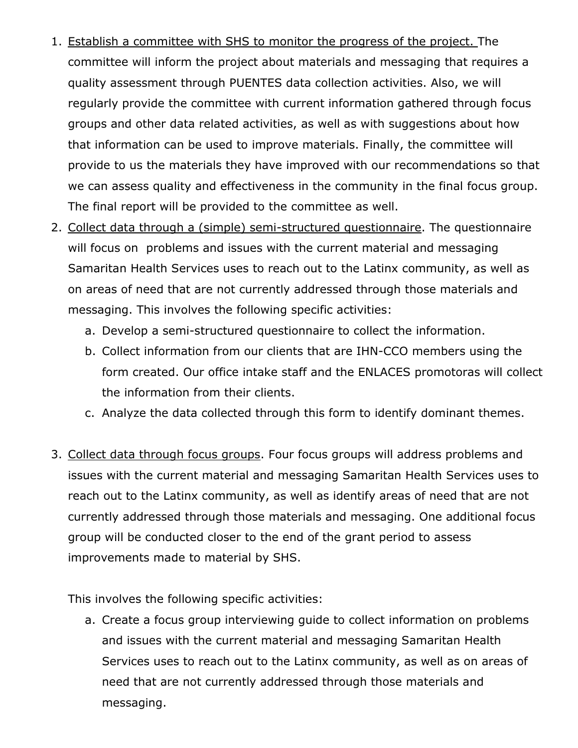- 1. Establish a committee with SHS to monitor the progress of the project. The committee will inform the project about materials and messaging that requires a quality assessment through PUENTES data collection activities. Also, we will regularly provide the committee with current information gathered through focus groups and other data related activities, as well as with suggestions about how that information can be used to improve materials. Finally, the committee will provide to us the materials they have improved with our recommendations so that we can assess quality and effectiveness in the community in the final focus group. The final report will be provided to the committee as well.
- 2. Collect data through a (simple) semi-structured questionnaire. The questionnaire will focus on problems and issues with the current material and messaging Samaritan Health Services uses to reach out to the Latinx community, as well as on areas of need that are not currently addressed through those materials and messaging. This involves the following specific activities:
	- a. Develop a semi-structured questionnaire to collect the information.
	- b. Collect information from our clients that are IHN-CCO members using the form created. Our office intake staff and the ENLACES promotoras will collect the information from their clients.
	- c. Analyze the data collected through this form to identify dominant themes.
- 3. Collect data through focus groups. Four focus groups will address problems and issues with the current material and messaging Samaritan Health Services uses to reach out to the Latinx community, as well as identify areas of need that are not currently addressed through those materials and messaging. One additional focus group will be conducted closer to the end of the grant period to assess improvements made to material by SHS.

This involves the following specific activities:

a. Create a focus group interviewing guide to collect information on problems and issues with the current material and messaging Samaritan Health Services uses to reach out to the Latinx community, as well as on areas of need that are not currently addressed through those materials and messaging.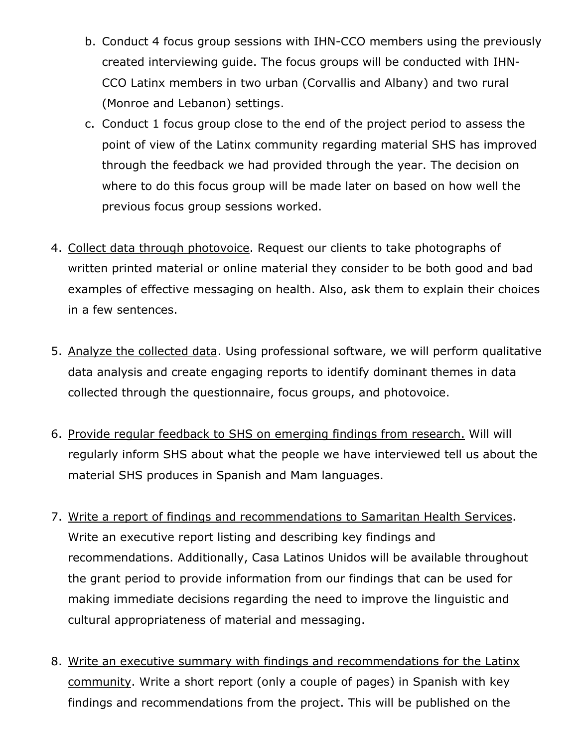- b. Conduct 4 focus group sessions with IHN-CCO members using the previously created interviewing guide. The focus groups will be conducted with IHN-CCO Latinx members in two urban (Corvallis and Albany) and two rural (Monroe and Lebanon) settings.
- c. Conduct 1 focus group close to the end of the project period to assess the point of view of the Latinx community regarding material SHS has improved through the feedback we had provided through the year. The decision on where to do this focus group will be made later on based on how well the previous focus group sessions worked.
- 4. Collect data through photovoice. Request our clients to take photographs of written printed material or online material they consider to be both good and bad examples of effective messaging on health. Also, ask them to explain their choices in a few sentences.
- 5. Analyze the collected data. Using professional software, we will perform qualitative data analysis and create engaging reports to identify dominant themes in data collected through the questionnaire, focus groups, and photovoice.
- 6. Provide regular feedback to SHS on emerging findings from research. Will will regularly inform SHS about what the people we have interviewed tell us about the material SHS produces in Spanish and Mam languages.
- 7. Write a report of findings and recommendations to Samaritan Health Services. Write an executive report listing and describing key findings and recommendations. Additionally, Casa Latinos Unidos will be available throughout the grant period to provide information from our findings that can be used for making immediate decisions regarding the need to improve the linguistic and cultural appropriateness of material and messaging.
- 8. Write an executive summary with findings and recommendations for the Latinx community. Write a short report (only a couple of pages) in Spanish with key findings and recommendations from the project. This will be published on the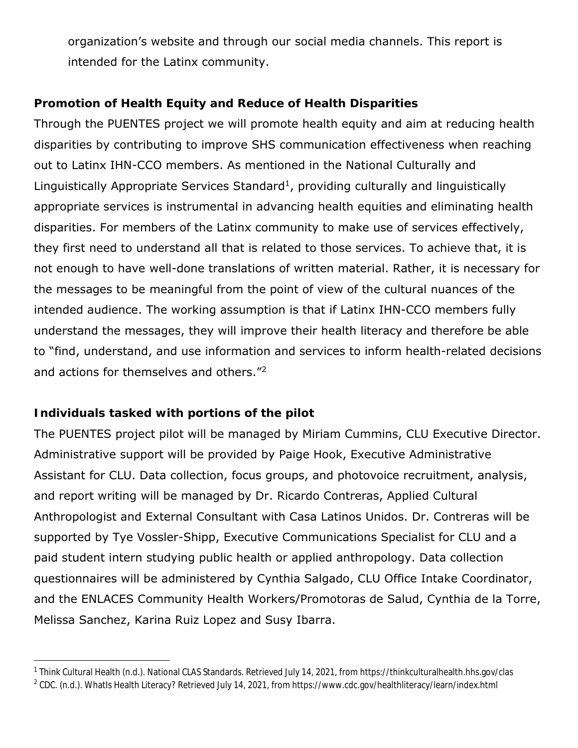organization's website and through our social media channels. This report is intended for the Latinx community.

#### **Promotion of Health Equity and Reduce of Health Disparities**

Through the PUENTES project we will promote health equity and aim at reducing health disparities by contributing to improve SHS communication effectiveness when reaching out to Latinx IHN-CCO members. As mentioned in the National Culturally and Linguistically Appropriate Services Standard<sup>1</sup>, providing culturally and linguistically appropriate services is instrumental in advancing health equities and eliminating health disparities. For members of the Latinx community to make use of services effectively, they first need to understand all that is related to those services. To achieve that, it is not enough to have well-done translations of written material. Rather, it is necessary for the messages to be meaningful from the point of view of the cultural nuances of the intended audience. The working assumption is that if Latinx IHN-CCO members fully understand the messages, they will improve their health literacy and therefore be able to "find, understand, and use information and services to inform health-related decisions and actions for themselves and others."2

#### **Individuals tasked with portions of the pilot**

The PUENTES project pilot will be managed by Miriam Cummins, CLU Executive Director. Administrative support will be provided by Paige Hook, Executive Administrative Assistant for CLU. Data collection, focus groups, and photovoice recruitment, analysis, and report writing will be managed by Dr. Ricardo Contreras, Applied Cultural Anthropologist and External Consultant with Casa Latinos Unidos. Dr. Contreras will be supported by Tye Vossler-Shipp, Executive Communications Specialist for CLU and a paid student intern studying public health or applied anthropology. Data collection questionnaires will be administered by Cynthia Salgado, CLU Office Intake Coordinator, and the ENLACES Community Health Workers/Promotoras de Salud, Cynthia de la Torre, Melissa Sanchez, Karina Ruiz Lopez and Susy Ibarra.

<sup>&</sup>lt;sup>1</sup> Think Cultural Health (n.d.). National CLAS Standards. Retrieved July 14, 2021, from https://thinkculturalhealth.hhs.gov/clas

<sup>&</sup>lt;sup>2</sup> CDC. (n.d.). WhatIs Health Literacy? Retrieved July 14, 2021, from https://www.cdc.gov/healthliteracy/learn/index.html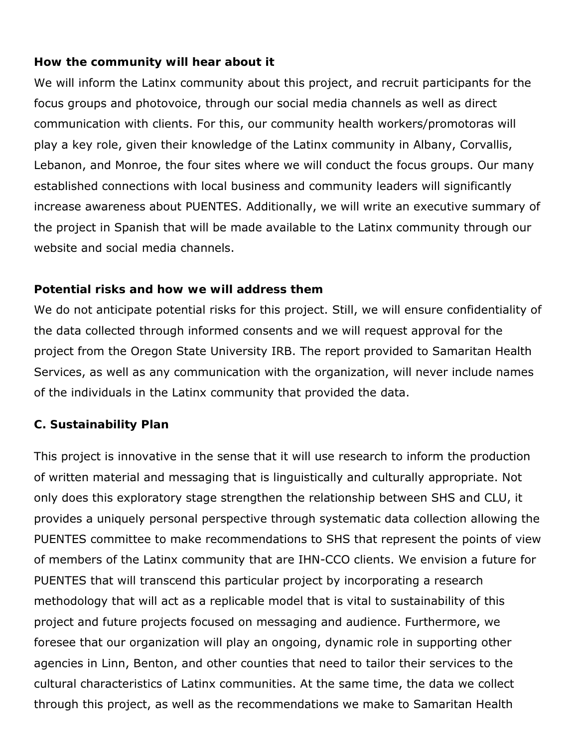#### **How the community will hear about it**

We will inform the Latinx community about this project, and recruit participants for the focus groups and photovoice, through our social media channels as well as direct communication with clients. For this, our community health workers/promotoras will play a key role, given their knowledge of the Latinx community in Albany, Corvallis, Lebanon, and Monroe, the four sites where we will conduct the focus groups. Our many established connections with local business and community leaders will significantly increase awareness about PUENTES. Additionally, we will write an executive summary of the project in Spanish that will be made available to the Latinx community through our website and social media channels.

#### **Potential risks and how we will address them**

We do not anticipate potential risks for this project. Still, we will ensure confidentiality of the data collected through informed consents and we will request approval for the project from the Oregon State University IRB. The report provided to Samaritan Health Services, as well as any communication with the organization, will never include names of the individuals in the Latinx community that provided the data.

#### **C. Sustainability Plan**

This project is innovative in the sense that it will use research to inform the production of written material and messaging that is linguistically and culturally appropriate. Not only does this exploratory stage strengthen the relationship between SHS and CLU, it provides a uniquely personal perspective through systematic data collection allowing the PUENTES committee to make recommendations to SHS that represent the points of view of members of the Latinx community that are IHN-CCO clients. We envision a future for PUENTES that will transcend this particular project by incorporating a research methodology that will act as a replicable model that is vital to sustainability of this project and future projects focused on messaging and audience. Furthermore, we foresee that our organization will play an ongoing, dynamic role in supporting other agencies in Linn, Benton, and other counties that need to tailor their services to the cultural characteristics of Latinx communities. At the same time, the data we collect through this project, as well as the recommendations we make to Samaritan Health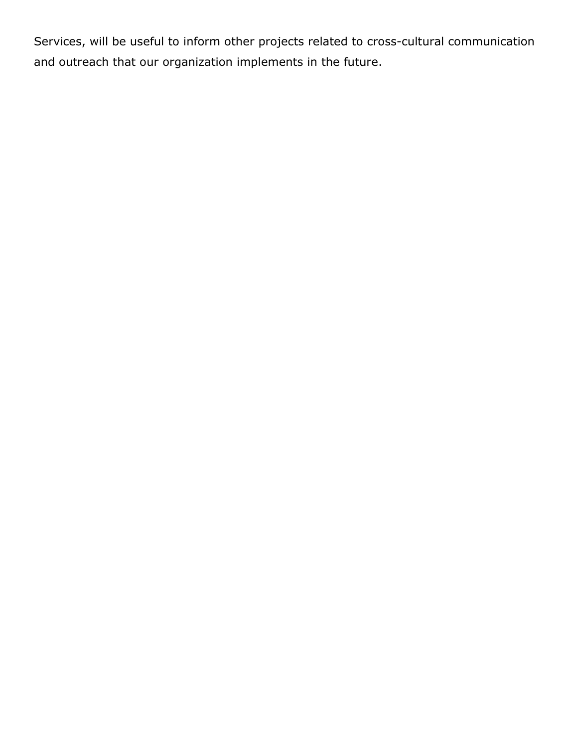Services, will be useful to inform other projects related to cross-cultural communication and outreach that our organization implements in the future.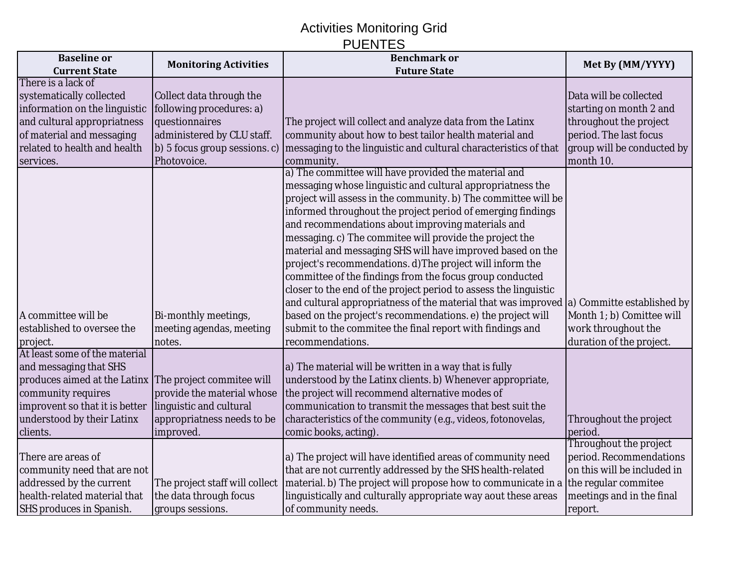## Activities Monitoring Grid PUENTES

| <b>Baseline</b> or                                     |                                | <b>Benchmark or</b>                                                                         |                             |
|--------------------------------------------------------|--------------------------------|---------------------------------------------------------------------------------------------|-----------------------------|
| <b>Current State</b>                                   | <b>Monitoring Activities</b>   | <b>Future State</b>                                                                         | Met By (MM/YYYY)            |
| There is a lack of                                     |                                |                                                                                             |                             |
| systematically collected                               | Collect data through the       |                                                                                             | Data will be collected      |
| information on the linguistic                          | following procedures: a)       |                                                                                             | starting on month 2 and     |
| and cultural appropriatness                            | questionnaires                 | The project will collect and analyze data from the Latinx                                   | throughout the project      |
| of material and messaging                              | administered by CLU staff.     | community about how to best tailor health material and                                      | period. The last focus      |
| related to health and health                           | b) 5 focus group sessions. c)  | messaging to the linguistic and cultural characteristics of that                            | group will be conducted by  |
| services.                                              | Photovoice.                    | community.                                                                                  | month 10.                   |
|                                                        |                                | a) The committee will have provided the material and                                        |                             |
|                                                        |                                | messaging whose linguistic and cultural appropriatness the                                  |                             |
|                                                        |                                | project will assess in the community. b) The committee will be                              |                             |
|                                                        |                                | informed throughout the project period of emerging findings                                 |                             |
|                                                        |                                | and recommendations about improving materials and                                           |                             |
|                                                        |                                | messaging. c) The commitee will provide the project the                                     |                             |
|                                                        |                                | material and messaging SHS will have improved based on the                                  |                             |
|                                                        |                                | project's recommendations. d) The project will inform the                                   |                             |
|                                                        |                                | committee of the findings from the focus group conducted                                    |                             |
|                                                        |                                | closer to the end of the project period to assess the linguistic                            |                             |
|                                                        |                                | and cultural appropriatness of the material that was improved $ a $ Committe established by |                             |
| A committee will be                                    | Bi-monthly meetings,           | based on the project's recommendations. e) the project will                                 | Month 1; b) Comittee will   |
| established to oversee the                             | meeting agendas, meeting       | submit to the commitee the final report with findings and                                   | work throughout the         |
| project.                                               | notes.                         | recommendations.                                                                            | duration of the project.    |
| At least some of the material                          |                                |                                                                                             |                             |
| and messaging that SHS                                 |                                | a) The material will be written in a way that is fully                                      |                             |
| produces aimed at the Latinx The project commitee will |                                | understood by the Latinx clients. b) Whenever appropriate,                                  |                             |
| community requires                                     | provide the material whose     | the project will recommend alternative modes of                                             |                             |
| improvent so that it is better                         | linguistic and cultural        | communication to transmit the messages that best suit the                                   |                             |
| understood by their Latinx                             | appropriatness needs to be     | characteristics of the community (e.g., videos, fotonovelas,                                | Throughout the project      |
| clients.                                               | improved.                      | comic books, acting).                                                                       | period.                     |
|                                                        |                                |                                                                                             | Throughout the project      |
| There are areas of                                     |                                | a) The project will have identified areas of community need                                 | period. Recommendations     |
| community need that are not                            |                                | that are not currently addressed by the SHS health-related                                  | on this will be included in |
| addressed by the current                               | The project staff will collect | material. b) The project will propose how to communicate in a                               | the regular commitee        |
| health-related material that                           | the data through focus         | linguistically and culturally appropriate way aout these areas                              | meetings and in the final   |
| <b>SHS produces in Spanish.</b>                        | groups sessions.               | of community needs.                                                                         | report.                     |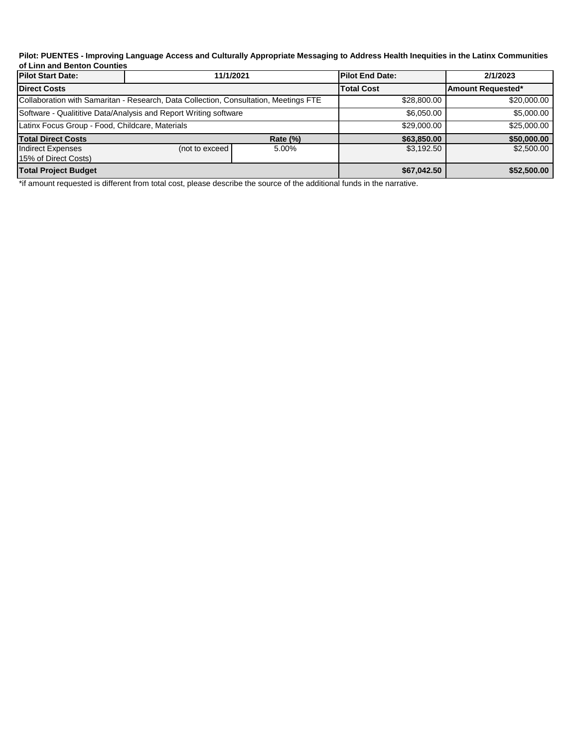#### **Pilot: PUENTES - Improving Language Access and Culturally Appropriate Messaging to Address Health Inequities in the Latinx Communities of Linn and Benton Counties**

| <b>Pilot Start Date:</b>                                         | 11/1/2021                                                                            |                   | <b>Pilot End Date:</b> | 2/1/2023    |
|------------------------------------------------------------------|--------------------------------------------------------------------------------------|-------------------|------------------------|-------------|
| <b>Direct Costs</b>                                              |                                                                                      | <b>Total Cost</b> | Amount Requested*      |             |
|                                                                  | Collaboration with Samaritan - Research, Data Collection, Consultation, Meetings FTE |                   | \$28,800.00            | \$20,000.00 |
| Software - Qualititive Data/Analysis and Report Writing software |                                                                                      | \$6,050.00        | \$5,000.00             |             |
| Latinx Focus Group - Food, Childcare, Materials                  |                                                                                      | \$29,000.00       | \$25,000.00            |             |
| <b>Total Direct Costs</b>                                        |                                                                                      | <b>Rate (%)</b>   | \$63,850.00            | \$50,000.00 |
| Indirect Expenses<br>15% of Direct Costs)                        | (not to exceed                                                                       | 5.00%             | \$3,192.50             | \$2,500.00  |
| <b>Total Project Budget</b>                                      |                                                                                      | \$67,042.50       | \$52,500.00            |             |

\*if amount requested is different from total cost, please describe the source of the additional funds in the narrative.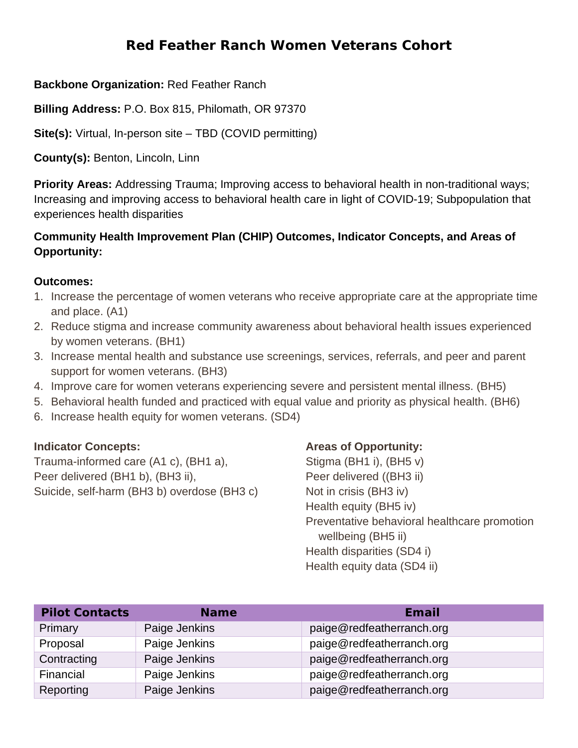## **Red Feather Ranch Women Veterans Cohort**

#### **Backbone Organization:** Red Feather Ranch

**Billing Address:** P.O. Box 815, Philomath, OR 97370

**Site(s):** Virtual, In-person site – TBD (COVID permitting)

**County(s):** Benton, Lincoln, Linn

**Priority Areas:** Addressing Trauma; Improving access to behavioral health in non-traditional ways; Increasing and improving access to behavioral health care in light of COVID-19; Subpopulation that experiences health disparities

#### **Community Health Improvement Plan (CHIP) Outcomes, Indicator Concepts, and Areas of Opportunity:**

#### **Outcomes:**

- 1. Increase the percentage of women veterans who receive appropriate care at the appropriate time and place. (A1)
- 2. Reduce stigma and increase community awareness about behavioral health issues experienced by women veterans. (BH1)
- 3. Increase mental health and substance use screenings, services, referrals, and peer and parent support for women veterans. (BH3)
- 4. Improve care for women veterans experiencing severe and persistent mental illness. (BH5)
- 5. Behavioral health funded and practiced with equal value and priority as physical health. (BH6)
- 6. Increase health equity for women veterans. (SD4)

#### **Indicator Concepts:**

Trauma-informed care (A1 c), (BH1 a), Peer delivered (BH1 b), (BH3 ii), Suicide, self-harm (BH3 b) overdose (BH3 c)

#### **Areas of Opportunity:**

Stigma (BH1 i), (BH5 v) Peer delivered ((BH3 ii) Not in crisis (BH3 iv) Health equity (BH5 iv) Preventative behavioral healthcare promotion wellbeing (BH5 ii) Health disparities (SD4 i) Health equity data (SD4 ii)

| <b>Pilot Contacts</b> | <b>Name</b>   | Email                     |
|-----------------------|---------------|---------------------------|
| Primary               | Paige Jenkins | paige@redfeatherranch.org |
| Proposal              | Paige Jenkins | paige@redfeatherranch.org |
| Contracting           | Paige Jenkins | paige@redfeatherranch.org |
| Financial             | Paige Jenkins | paige@redfeatherranch.org |
| Reporting             | Paige Jenkins | paige@redfeatherranch.org |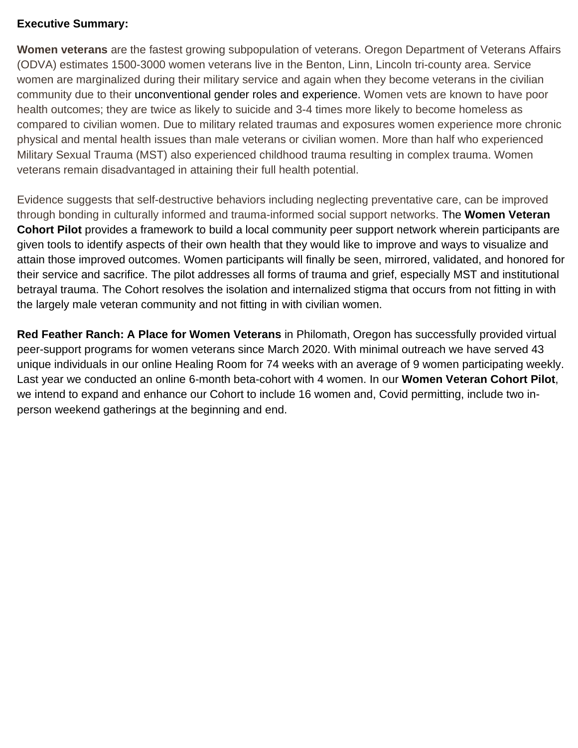#### **Executive Summary:**

**Women veterans** are the fastest growing subpopulation of veterans. Oregon Department of Veterans Affairs (ODVA) estimates 1500-3000 women veterans live in the Benton, Linn, Lincoln tri-county area. Service women are marginalized during their military service and again when they become veterans in the civilian community due to their unconventional gender roles and experience. Women vets are known to have poor health outcomes; they are twice as likely to suicide and 3-4 times more likely to become homeless as compared to civilian women. Due to military related traumas and exposures women experience more chronic physical and mental health issues than male veterans or civilian women. More than half who experienced Military Sexual Trauma (MST) also experienced childhood trauma resulting in complex trauma. Women veterans remain disadvantaged in attaining their full health potential.

Evidence suggests that self-destructive behaviors including neglecting preventative care, can be improved through bonding in culturally informed and trauma-informed social support networks. The **Women Veteran Cohort Pilot** provides a framework to build a local community peer support network wherein participants are given tools to identify aspects of their own health that they would like to improve and ways to visualize and attain those improved outcomes. Women participants will finally be seen, mirrored, validated, and honored for their service and sacrifice. The pilot addresses all forms of trauma and grief, especially MST and institutional betrayal trauma. The Cohort resolves the isolation and internalized stigma that occurs from not fitting in with the largely male veteran community and not fitting in with civilian women.

**Red Feather Ranch: A Place for Women Veterans** in Philomath, Oregon has successfully provided virtual peer-support programs for women veterans since March 2020. With minimal outreach we have served 43 unique individuals in our online Healing Room for 74 weeks with an average of 9 women participating weekly. Last year we conducted an online 6-month beta-cohort with 4 women. In our **Women Veteran Cohort Pilot**, we intend to expand and enhance our Cohort to include 16 women and, Covid permitting, include two inperson weekend gatherings at the beginning and end.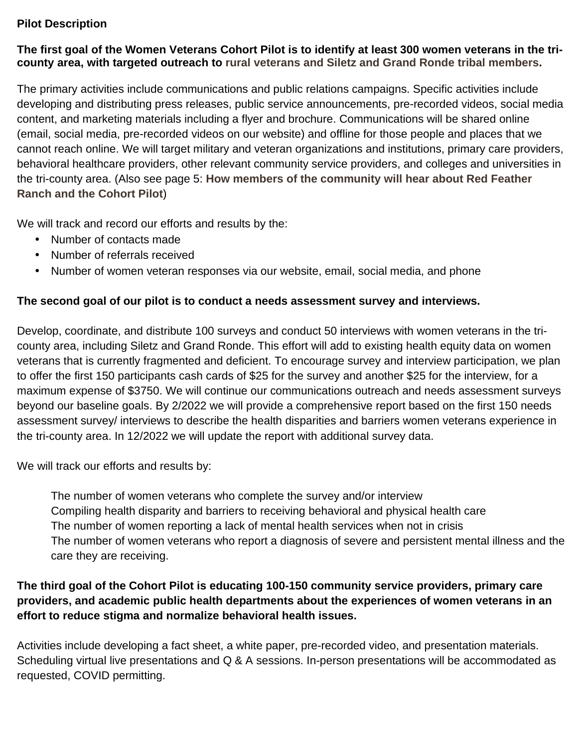#### **Pilot Description**

#### **The first goal of the Women Veterans Cohort Pilot is to identify at least 300 women veterans in the tricounty area, with targeted outreach to rural veterans and Siletz and Grand Ronde tribal members.**

The primary activities include communications and public relations campaigns. Specific activities include developing and distributing press releases, public service announcements, pre-recorded videos, social media content, and marketing materials including a flyer and brochure. Communications will be shared online (email, social media, pre-recorded videos on our website) and offline for those people and places that we cannot reach online. We will target military and veteran organizations and institutions, primary care providers, behavioral healthcare providers, other relevant community service providers, and colleges and universities in the tri-county area. (Also see page 5: **How members of the community will hear about Red Feather Ranch and the Cohort Pilot**)

We will track and record our efforts and results by the:

- Number of contacts made
- Number of referrals received  $\mathbf{r}$
- Number of women veteran responses via our website, email, social media, and phone

#### **The second goal of our pilot is to conduct a needs assessment survey and interviews.**

Develop, coordinate, and distribute 100 surveys and conduct 50 interviews with women veterans in the tricounty area, including Siletz and Grand Ronde. This effort will add to existing health equity data on women veterans that is currently fragmented and deficient. To encourage survey and interview participation, we plan to offer the first 150 participants cash cards of \$25 for the survey and another \$25 for the interview, for a maximum expense of \$3750. We will continue our communications outreach and needs assessment surveys beyond our baseline goals. By 2/2022 we will provide a comprehensive report based on the first 150 needs assessment survey/ interviews to describe the health disparities and barriers women veterans experience in the tri-county area. In 12/2022 we will update the report with additional survey data.

We will track our efforts and results by:

The number of women veterans who complete the survey and/or interview Compiling health disparity and barriers to receiving behavioral and physical health care The number of women reporting a lack of mental health services when not in crisis The number of women veterans who report a diagnosis of severe and persistent mental illness and the care they are receiving.

#### **The third goal of the Cohort Pilot is educating 100-150 community service providers, primary care providers, and academic public health departments about the experiences of women veterans in an effort to reduce stigma and normalize behavioral health issues.**

Activities include developing a fact sheet, a white paper, pre-recorded video, and presentation materials. Scheduling virtual live presentations and Q & A sessions. In-person presentations will be accommodated as requested, COVID permitting.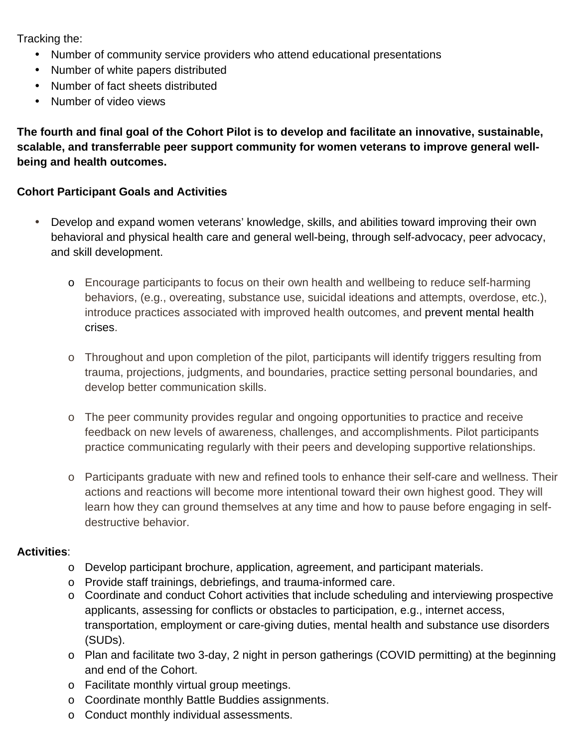Tracking the:

- Number of community service providers who attend educational presentations
- Number of white papers distributed
- Number of fact sheets distributed  $\mathbf{r}$
- Number of video views  $\mathbf{r}$

**The fourth and final goal of the Cohort Pilot is to develop and facilitate an innovative, sustainable, scalable, and transferrable peer support community for women veterans to improve general wellbeing and health outcomes.**

#### **Cohort Participant Goals and Activities**

- Develop and expand women veterans' knowledge, skills, and abilities toward improving their own behavioral and physical health care and general well-being, through self-advocacy, peer advocacy, and skill development.
	- o Encourage participants to focus on their own health and wellbeing to reduce self-harming behaviors, (e.g., overeating, substance use, suicidal ideations and attempts, overdose, etc.), introduce practices associated with improved health outcomes, and prevent mental health crises.
	- o Throughout and upon completion of the pilot, participants will identify triggers resulting from trauma, projections, judgments, and boundaries, practice setting personal boundaries, and develop better communication skills.
	- o The peer community provides regular and ongoing opportunities to practice and receive feedback on new levels of awareness, challenges, and accomplishments. Pilot participants practice communicating regularly with their peers and developing supportive relationships.
	- o Participants graduate with new and refined tools to enhance their self-care and wellness. Their actions and reactions will become more intentional toward their own highest good. They will learn how they can ground themselves at any time and how to pause before engaging in selfdestructive behavior.

#### **Activities**:

- o Develop participant brochure, application, agreement, and participant materials.
- o Provide staff trainings, debriefings, and trauma-informed care.
- $\circ$  Coordinate and conduct Cohort activities that include scheduling and interviewing prospective applicants, assessing for conflicts or obstacles to participation, e.g., internet access, transportation, employment or care-giving duties, mental health and substance use disorders (SUDs).
- o Plan and facilitate two 3-day, 2 night in person gatherings (COVID permitting) at the beginning and end of the Cohort.
- o Facilitate monthly virtual group meetings.
- o Coordinate monthly Battle Buddies assignments.
- o Conduct monthly individual assessments.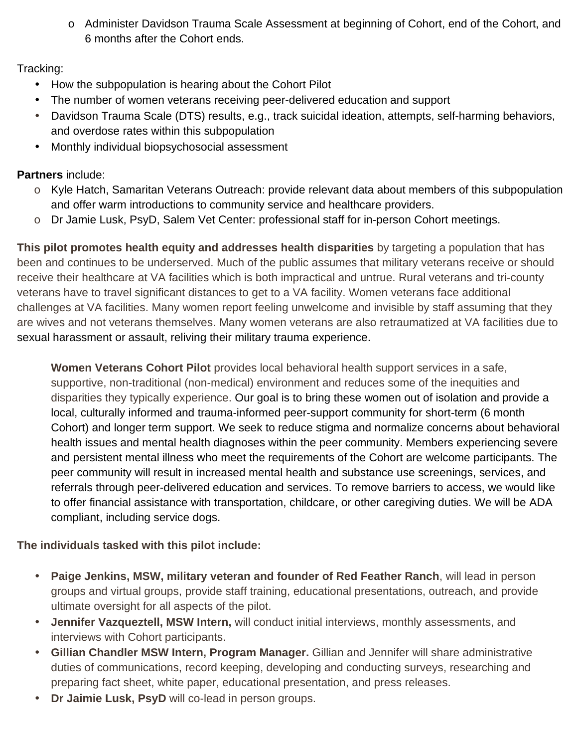o Administer Davidson Trauma Scale Assessment at beginning of Cohort, end of the Cohort, and 6 months after the Cohort ends.

#### Tracking:

- How the subpopulation is hearing about the Cohort Pilot
- The number of women veterans receiving peer-delivered education and support
- Davidson Trauma Scale (DTS) results, e.g., track suicidal ideation, attempts, self-harming behaviors, and overdose rates within this subpopulation
- Monthly individual biopsychosocial assessment

#### **Partners** include:

- o Kyle Hatch, Samaritan Veterans Outreach: provide relevant data about members of this subpopulation and offer warm introductions to community service and healthcare providers.
- o Dr Jamie Lusk, PsyD, Salem Vet Center: professional staff for in-person Cohort meetings.

**This pilot promotes health equity and addresses health disparities** by targeting a population that has been and continues to be underserved. Much of the public assumes that military veterans receive or should receive their healthcare at VA facilities which is both impractical and untrue. Rural veterans and tri-county veterans have to travel significant distances to get to a VA facility. Women veterans face additional challenges at VA facilities. Many women report feeling unwelcome and invisible by staff assuming that they are wives and not veterans themselves. Many women veterans are also retraumatized at VA facilities due to sexual harassment or assault, reliving their military trauma experience.

**Women Veterans Cohort Pilot** provides local behavioral health support services in a safe, supportive, non-traditional (non-medical) environment and reduces some of the inequities and disparities they typically experience. Our goal is to bring these women out of isolation and provide a local, culturally informed and trauma-informed peer-support community for short-term (6 month Cohort) and longer term support. We seek to reduce stigma and normalize concerns about behavioral health issues and mental health diagnoses within the peer community. Members experiencing severe and persistent mental illness who meet the requirements of the Cohort are welcome participants. The peer community will result in increased mental health and substance use screenings, services, and referrals through peer-delivered education and services. To remove barriers to access, we would like to offer financial assistance with transportation, childcare, or other caregiving duties. We will be ADA compliant, including service dogs.

#### **The individuals tasked with this pilot include:**

- **Paige Jenkins, MSW, military veteran and founder of Red Feather Ranch**, will lead in person ä, groups and virtual groups, provide staff training, educational presentations, outreach, and provide ultimate oversight for all aspects of the pilot.
- **Jennifer Vazqueztell, MSW Intern,** will conduct initial interviews, monthly assessments, and interviews with Cohort participants.
- **Gillian Chandler MSW Intern, Program Manager.** Gillian and Jennifer will share administrative duties of communications, record keeping, developing and conducting surveys, researching and preparing fact sheet, white paper, educational presentation, and press releases.
- **Dr Jaimie Lusk, PsyD** will co-lead in person groups.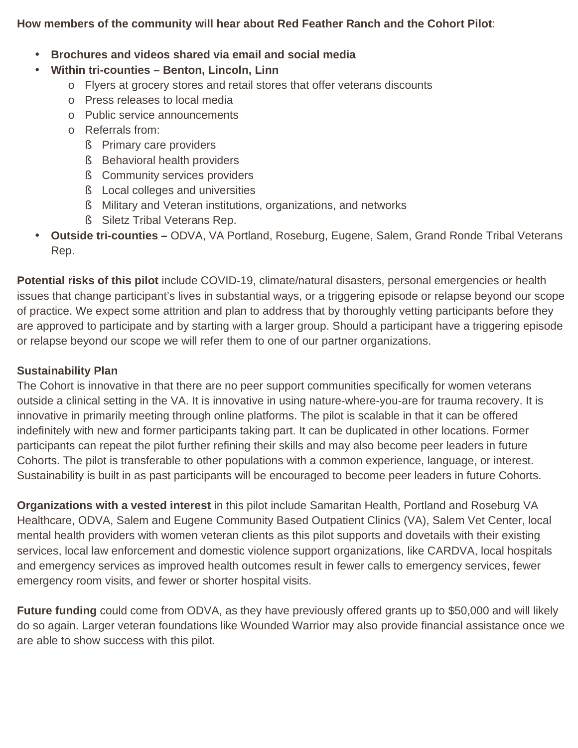#### **How members of the community will hear about Red Feather Ranch and the Cohort Pilot**:

#### **Brochures and videos shared via email and social media**

#### **Within tri-counties – Benton, Lincoln, Linn**

- o Flyers at grocery stores and retail stores that offer veterans discounts
- o Press releases to local media
- o Public service announcements
- o Referrals from:
	- **§** Primary care providers
	- § Behavioral health providers
	- **§** Community services providers
	- § Local colleges and universities
	- § Military and Veteran institutions, organizations, and networks
	- § Siletz Tribal Veterans Rep.
- **Outside tri-counties** ODVA, VA Portland, Roseburg, Eugene, Salem, Grand Ronde Tribal Veterans Rep.

**Potential risks of this pilot** include COVID-19, climate/natural disasters, personal emergencies or health issues that change participant's lives in substantial ways, or a triggering episode or relapse beyond our scope of practice. We expect some attrition and plan to address that by thoroughly vetting participants before they are approved to participate and by starting with a larger group. Should a participant have a triggering episode or relapse beyond our scope we will refer them to one of our partner organizations.

#### **Sustainability Plan**

The Cohort is innovative in that there are no peer support communities specifically for women veterans outside a clinical setting in the VA. It is innovative in using nature-where-you-are for trauma recovery. It is innovative in primarily meeting through online platforms. The pilot is scalable in that it can be offered indefinitely with new and former participants taking part. It can be duplicated in other locations. Former participants can repeat the pilot further refining their skills and may also become peer leaders in future Cohorts. The pilot is transferable to other populations with a common experience, language, or interest. Sustainability is built in as past participants will be encouraged to become peer leaders in future Cohorts.

**Organizations with a vested interest** in this pilot include Samaritan Health, Portland and Roseburg VA Healthcare, ODVA, Salem and Eugene Community Based Outpatient Clinics (VA), Salem Vet Center, local mental health providers with women veteran clients as this pilot supports and dovetails with their existing services, local law enforcement and domestic violence support organizations, like CARDVA, local hospitals and emergency services as improved health outcomes result in fewer calls to emergency services, fewer emergency room visits, and fewer or shorter hospital visits.

**Future funding** could come from ODVA, as they have previously offered grants up to \$50,000 and will likely do so again. Larger veteran foundations like Wounded Warrior may also provide financial assistance once we are able to show success with this pilot.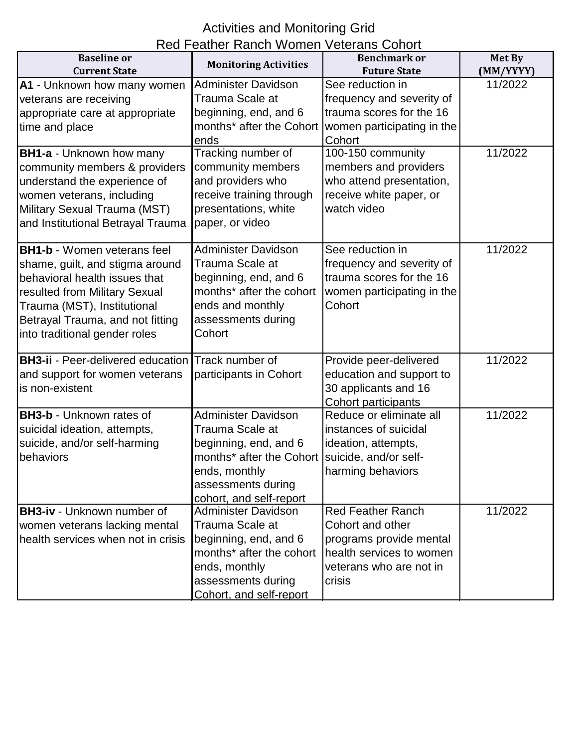# Activities and Monitoring Grid

| Red Feather Ranch Women Veterans Cohort<br><b>Baseline</b> or<br><b>Benchmark or</b> |                              |                            |                     |
|--------------------------------------------------------------------------------------|------------------------------|----------------------------|---------------------|
| <b>Current State</b>                                                                 | <b>Monitoring Activities</b> | <b>Future State</b>        | Met By<br>(MM/YYYY) |
| A1 - Unknown how many women                                                          | Administer Davidson          | See reduction in           | 11/2022             |
| veterans are receiving                                                               | Trauma Scale at              | frequency and severity of  |                     |
| appropriate care at appropriate                                                      | beginning, end, and 6        | trauma scores for the 16   |                     |
| time and place                                                                       | months* after the Cohort     | women participating in the |                     |
|                                                                                      | ends                         | Cohort                     |                     |
| <b>BH1-a - Unknown how many</b>                                                      | Tracking number of           | 100-150 community          | 11/2022             |
| community members & providers                                                        | community members            | members and providers      |                     |
| understand the experience of                                                         | and providers who            | who attend presentation,   |                     |
| women veterans, including                                                            | receive training through     | receive white paper, or    |                     |
| Military Sexual Trauma (MST)                                                         | presentations, white         | watch video                |                     |
| and Institutional Betrayal Trauma                                                    | paper, or video              |                            |                     |
|                                                                                      |                              |                            |                     |
| <b>BH1-b - Women veterans feel</b>                                                   | <b>Administer Davidson</b>   | See reduction in           | 11/2022             |
| shame, guilt, and stigma around                                                      | Trauma Scale at              | frequency and severity of  |                     |
| behavioral health issues that                                                        | beginning, end, and 6        | trauma scores for the 16   |                     |
| resulted from Military Sexual                                                        | months* after the cohort     | women participating in the |                     |
| Trauma (MST), Institutional                                                          | ends and monthly             | Cohort                     |                     |
| Betrayal Trauma, and not fitting                                                     | assessments during           |                            |                     |
| into traditional gender roles                                                        | Cohort                       |                            |                     |
|                                                                                      |                              |                            |                     |
| <b>BH3-ii</b> - Peer-delivered education                                             | Track number of              | Provide peer-delivered     | 11/2022             |
| and support for women veterans                                                       | participants in Cohort       | education and support to   |                     |
| is non-existent                                                                      |                              | 30 applicants and 16       |                     |
|                                                                                      |                              | Cohort participants        |                     |
| <b>BH3-b - Unknown rates of</b>                                                      | Administer Davidson          | Reduce or eliminate all    | 11/2022             |
| suicidal ideation, attempts,                                                         | Trauma Scale at              | instances of suicidal      |                     |
| suicide, and/or self-harming                                                         | beginning, end, and 6        | ideation, attempts,        |                     |
| behaviors                                                                            | months* after the Cohort     | suicide, and/or self-      |                     |
|                                                                                      | ends, monthly                | harming behaviors          |                     |
|                                                                                      | assessments during           |                            |                     |
|                                                                                      | cohort, and self-report      |                            |                     |
| <b>BH3-iv - Unknown number of</b>                                                    | <b>Administer Davidson</b>   | <b>Red Feather Ranch</b>   | 11/2022             |
| women veterans lacking mental                                                        | Trauma Scale at              | Cohort and other           |                     |
| health services when not in crisis                                                   | beginning, end, and 6        | programs provide mental    |                     |
|                                                                                      | months* after the cohort     | health services to women   |                     |
|                                                                                      | ends, monthly                | veterans who are not in    |                     |
|                                                                                      | assessments during           | crisis                     |                     |
|                                                                                      | Cohort, and self-report      |                            |                     |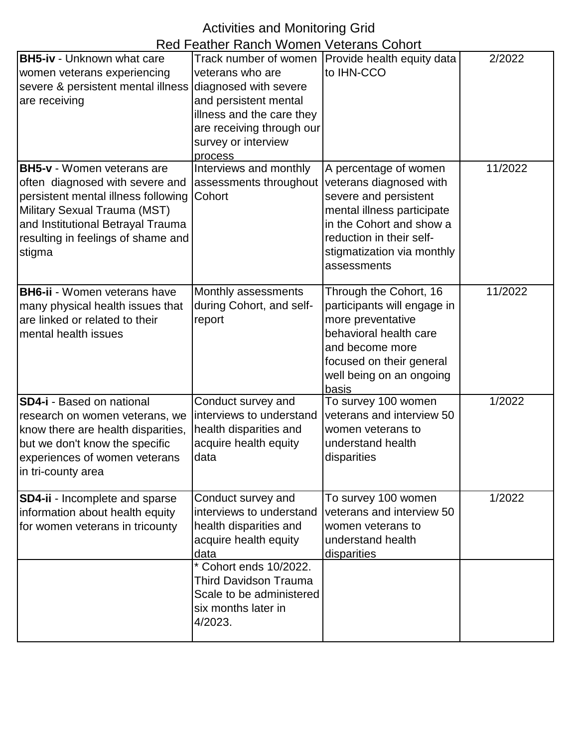## Activities and Monitoring Grid

|                                                                                                                                                                                                                                  | Red Feather Ranch Women Veterans Cohort                                                                                                                                                                                           |                                                                                                                                                                                                              |         |
|----------------------------------------------------------------------------------------------------------------------------------------------------------------------------------------------------------------------------------|-----------------------------------------------------------------------------------------------------------------------------------------------------------------------------------------------------------------------------------|--------------------------------------------------------------------------------------------------------------------------------------------------------------------------------------------------------------|---------|
| <b>BH5-iv - Unknown what care</b><br>women veterans experiencing<br>severe & persistent mental illness<br>are receiving                                                                                                          | Track number of women<br>veterans who are<br>diagnosed with severe<br>and persistent mental<br>illness and the care they<br>are receiving through our<br>survey or interview<br>process                                           | Provide health equity data<br>to IHN-CCO                                                                                                                                                                     | 2/2022  |
| <b>BH5-v</b> - Women veterans are<br>often diagnosed with severe and<br>persistent mental illness following<br>Military Sexual Trauma (MST)<br>and Institutional Betrayal Trauma<br>resulting in feelings of shame and<br>stigma | Interviews and monthly<br>assessments throughout<br>Cohort                                                                                                                                                                        | A percentage of women<br>veterans diagnosed with<br>severe and persistent<br>mental illness participate<br>in the Cohort and show a<br>reduction in their self-<br>stigmatization via monthly<br>assessments | 11/2022 |
| <b>BH6-ii</b> - Women veterans have<br>many physical health issues that<br>are linked or related to their<br>mental health issues                                                                                                | Monthly assessments<br>during Cohort, and self-<br>report                                                                                                                                                                         | Through the Cohort, 16<br>participants will engage in<br>more preventative<br>behavioral health care<br>and become more<br>focused on their general<br>well being on an ongoing<br>basis                     | 11/2022 |
| <b>SD4-i</b> - Based on national<br>research on women veterans, we<br>know there are health disparities,<br>but we don't know the specific<br>experiences of women veterans<br>in tri-county area                                | Conduct survey and<br>interviews to understand<br>health disparities and<br>acquire health equity<br>data                                                                                                                         | To survey 100 women<br>veterans and interview 50<br>women veterans to<br>understand health<br>disparities                                                                                                    | 1/2022  |
| <b>SD4-ii - Incomplete and sparse</b><br>information about health equity<br>for women veterans in tricounty                                                                                                                      | Conduct survey and<br>interviews to understand<br>health disparities and<br>acquire health equity<br>data<br>* Cohort ends 10/2022.<br><b>Third Davidson Trauma</b><br>Scale to be administered<br>six months later in<br>4/2023. | To survey 100 women<br>veterans and interview 50<br>women veterans to<br>understand health<br>disparities                                                                                                    | 1/2022  |